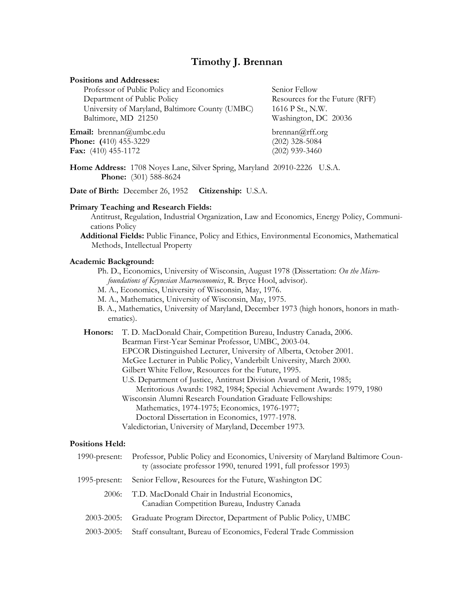# **Timothy J. Brennan**

### **Positions and Addresses:**

| Professor of Public Policy and Economics        | Senior Fellow            |
|-------------------------------------------------|--------------------------|
| Department of Public Policy                     | Resources for the Future |
| University of Maryland, Baltimore County (UMBC) | 1616 P St., N.W.         |
| Baltimore, MD 21250                             | Washington, DC 20036     |
|                                                 |                          |

**Email:** brennan@umbc.edu [brennan@rff.org](mailto:brennan@rff.org) **Phone:** (410) 455-3229 (202) 328-5084 **Fax:** (410) 455-1172 (202) 939-3460

 $re$  (RFF)

**Home Address:** 1708 Noyes Lane, Silver Spring, Maryland 20910-2226 U.S.A. **Phone:** (301) 588-8624

**Date of Birth:** December 26, 1952 **Citizenship:** U.S.A.

### **Primary Teaching and Research Fields:**

Antitrust, Regulation, Industrial Organization, Law and Economics, Energy Policy, Communications Policy

**Additional Fields:** Public Finance, Policy and Ethics, Environmental Economics, Mathematical Methods, Intellectual Property

#### **Academic Background:**

Ph. D., Economics, University of Wisconsin, August 1978 (Dissertation: *On the Microfoundations of Keynesian Macroeconomics*, R. Bryce Hool, advisor).

- M. A., Economics, University of Wisconsin, May, 1976.
- M. A., Mathematics, University of Wisconsin, May, 1975.
- B. A., Mathematics, University of Maryland, December 1973 (high honors, honors in mathematics).

**Honors:** T. D. MacDonald Chair, Competition Bureau, Industry Canada, 2006. Bearman First-Year Seminar Professor, UMBC, 2003-04. EPCOR Distinguished Lecturer, University of Alberta, October 2001. McGee Lecturer in Public Policy, Vanderbilt University, March 2000. Gilbert White Fellow, Resources for the Future, 1995. U.S. Department of Justice, Antitrust Division Award of Merit, 1985; Meritorious Awards: 1982, 1984; Special Achievement Awards: 1979, 1980 Wisconsin Alumni Research Foundation Graduate Fellowships: Mathematics, 1974-1975; Economics, 1976-1977; Doctoral Dissertation in Economics, 1977-1978. Valedictorian, University of Maryland, December 1973.

### **Positions Held:**

| 1990-present: | Professor, Public Policy and Economics, University of Maryland Baltimore Coun-<br>ty (associate professor 1990, tenured 1991, full professor 1993) |
|---------------|----------------------------------------------------------------------------------------------------------------------------------------------------|
| 1995-present: | Senior Fellow, Resources for the Future, Washington DC                                                                                             |
| 2006:         | T.D. MacDonald Chair in Industrial Economics,<br>Canadian Competition Bureau, Industry Canada                                                      |
| 2003-2005:    | Graduate Program Director, Department of Public Policy, UMBC                                                                                       |
| $2003 - 2005$ | Staff consultant, Bureau of Economics, Federal Trade Commission                                                                                    |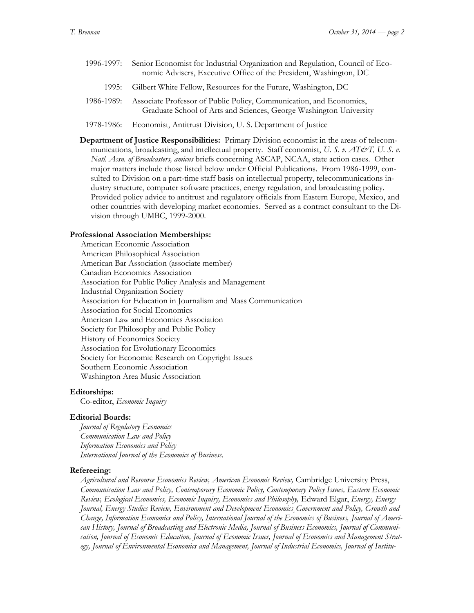- 1996-1997: Senior Economist for Industrial Organization and Regulation, Council of Economic Advisers, Executive Office of the President, Washington, DC
	- 1995: Gilbert White Fellow, Resources for the Future, Washington, DC
- 1986-1989: Associate Professor of Public Policy, Communication, and Economics, Graduate School of Arts and Sciences, George Washington University
- 1978-1986: Economist, Antitrust Division, U. S. Department of Justice
- **Department of Justice Responsibilities:** Primary Division economist in the areas of telecommunications, broadcasting, and intellectual property. Staff economist, *U. S. v. AT&T*, *U. S. v. Natl. Assn. of Broadcasters, amicus* briefs concerning ASCAP, NCAA, state action cases. Other major matters include those listed below under Official Publications. From 1986-1999, consulted to Division on a part-time staff basis on intellectual property, telecommunications industry structure, computer software practices, energy regulation, and broadcasting policy. Provided policy advice to antitrust and regulatory officials from Eastern Europe, Mexico, and other countries with developing market economies. Served as a contract consultant to the Division through UMBC, 1999-2000.

### **Professional Association Memberships:**

American Economic Association American Philosophical Association American Bar Association (associate member) Canadian Economics Association Association for Public Policy Analysis and Management Industrial Organization Society Association for Education in Journalism and Mass Communication Association for Social Economics American Law and Economics Association Society for Philosophy and Public Policy History of Economics Society Association for Evolutionary Economics Society for Economic Research on Copyright Issues Southern Economic Association Washington Area Music Association

#### **Editorships:**

Co-editor, *Economic Inquiry*

# **Editorial Boards:**

*Journal of Regulatory Economics Communication Law and Policy Information Economics and Policy International Journal of the Economics of Business.*

#### **Refereeing:**

*Agricultural and Resource Economics Review, American Economic Review,* Cambridge University Press, *Communication Law and Policy, Contemporary Economic Policy, Contemporary Policy Issues, Eastern Economic Review, Ecological Economics, Economic Inquiry, Economics and Philosophy,* Edward Elgar, *Energy, Energy Journal, Energy Studies Review, Environment and Development Economics¸Government and Policy, Growth and Change, Information Economics and Policy, International Journal of the Economics of Business, Journal of American History, Journal of Broadcasting and Electronic Media, Journal of Business Economics, Journal of Communication, Journal of Economic Education, Journal of Economic Issues, Journal of Economics and Management Strategy, Journal of Environmental Economics and Management, Journal of Industrial Economics, Journal of Institu-*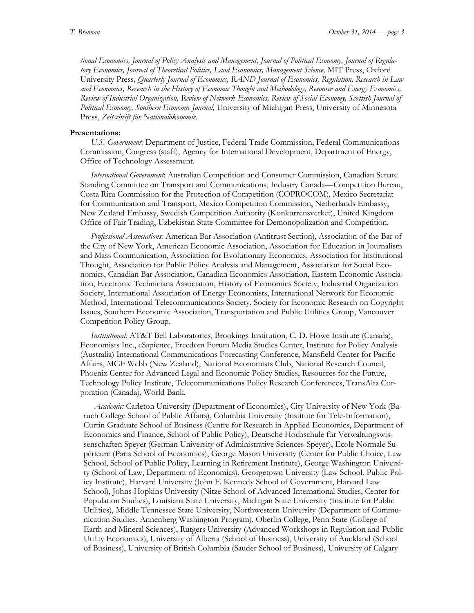*tional Economics, Journal of Policy Analysis and Management, Journal of Political Economy, Journal of Regulatory Economics, Journal of Theoretical Politics, Land Economics, Management Science,* MIT Press, Oxford University Press*, Quarterly Journal of Economics, RAND Journal of Economics, Regulation, Research in Law and Economics, Research in the History of Economic Thought and Methodology, Resource and Energy Economics, Review of Industrial Organization, Review of Network Economics, Review of Social Economy, Scottish Journal of Political Economy, Southern Economic Journal,* University of Michigan Press, University of Minnesota Press, *Zeitschrift für Nationalökonomie.*

### **Presentations:**

*U.S. Government:* Department of Justice, Federal Trade Commission, Federal Communications Commission, Congress (staff), Agency for International Development, Department of Energy, Office of Technology Assessment.

*International Government*: Australian Competition and Consumer Commission, Canadian Senate Standing Committee on Transport and Communications, Industry Canada—Competition Bureau, Costa Rica Commission for the Protection of Competition (COPROCOM), Mexico Secretariat for Communication and Transport, Mexico Competition Commission, Netherlands Embassy, New Zealand Embassy, Swedish Competition Authority (Konkurrensverket), United Kingdom Office of Fair Trading, Uzbekistan State Committee for Demonopolization and Competition.

*Professional Associations:* American Bar Association (Antitrust Section), Association of the Bar of the City of New York, American Economic Association, Association for Education in Journalism and Mass Communication, Association for Evolutionary Economics, Association for Institutional Thought, Association for Public Policy Analysis and Management, Association for Social Economics, Canadian Bar Association, Canadian Economics Association, Eastern Economic Association, Electronic Technicians Association, History of Economics Society, Industrial Organization Society, International Association of Energy Economists, International Network for Economic Method, International Telecommunications Society, Society for Economic Research on Copyright Issues, Southern Economic Association, Transportation and Public Utilities Group, Vancouver Competition Policy Group.

*Institutional:* AT&T Bell Laboratories, Brookings Institution, C. D. Howe Institute (Canada), Economists Inc., eSapience, Freedom Forum Media Studies Center, Institute for Policy Analysis (Australia) International Communications Forecasting Conference, Mansfield Center for Pacific Affairs, MGF Webb (New Zealand), National Economists Club, National Research Council, Phoenix Center for Advanced Legal and Economic Policy Studies, Resources for the Future, Technology Policy Institute, Telecommunications Policy Research Conferences, TransAlta Corporation (Canada), World Bank.

*Academic:* Carleton University (Department of Economics), City University of New York (Baruch College School of Public Affairs), Columbia University (Institute for Tele-Information), Curtin Graduate School of Business (Centre for Research in Applied Economics, Department of Economics and Finance, School of Public Policy), Deutsche Hochschule für Verwaltungswissenschaften Speyer (German University of Administrative Sciences-Speyer), Ecole Normale Supérieure (Paris School of Economics), George Mason University (Center for Public Choice, Law School, School of Public Policy, Learning in Retirement Institute), George Washington University (School of Law, Department of Economics), Georgetown University (Law School, Public Policy Institute), Harvard University (John F. Kennedy School of Government, Harvard Law School), Johns Hopkins University (Nitze School of Advanced International Studies, Center for Population Studies), Louisiana State University, Michigan State University (Institute for Public Utilities), Middle Tennessee State University, Northwestern University (Department of Communication Studies, Annenberg Washington Program), Oberlin College, Penn State (College of Earth and Mineral Sciences), Rutgers University (Advanced Workshops in Regulation and Public Utility Economics), University of Alberta (School of Business), University of Auckland (School of Business), University of British Columbia (Sauder School of Business), University of Calgary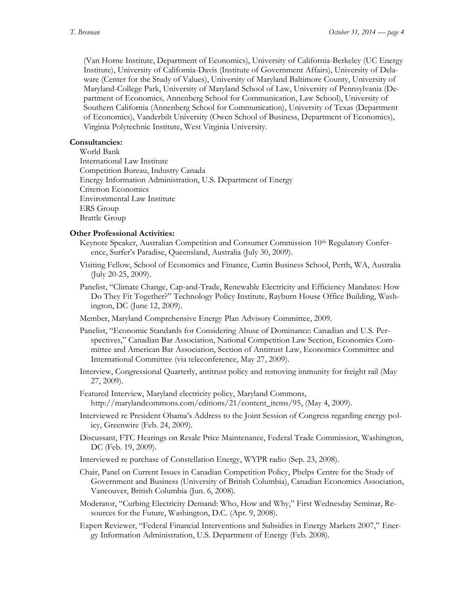(Van Horne Institute, Department of Economics), University of California-Berkeley (UC Energy Institute), University of California-Davis (Institute of Government Affairs), University of Delaware (Center for the Study of Values), University of Maryland Baltimore County, University of Maryland-College Park, University of Maryland School of Law, University of Pennsylvania (Department of Economics, Annenberg School for Communication, Law School), University of Southern California (Annenberg School for Communication), University of Texas (Department of Economics), Vanderbilt University (Owen School of Business, Department of Economics), Virginia Polytechnic Institute, West Virginia University.

# **Consultancies:**

World Bank International Law Institute Competition Bureau, Industry Canada Energy Information Administration, U.S. Department of Energy Criterion Economics Environmental Law Institute ERS Group Brattle Group

# **Other Professional Activities:**

- Keynote Speaker, Australian Competition and Consumer Commission 10<sup>th</sup> Regulatory Conference, Surfer's Paradise, Queensland, Australia (July 30, 2009).
- Visiting Fellow, School of Economics and Finance, Curtin Business School, Perth, WA, Australia (July 20-25, 2009).
- Panelist, "Climate Change, Cap-and-Trade, Renewable Electricity and Efficiency Mandates: How Do They Fit Together?" Technology Policy Institute, Rayburn House Office Building, Washington, DC (June 12, 2009).
- Member, Maryland Comprehensive Energy Plan Advisory Committee, 2009.
- Panelist, "Economic Standards for Considering Abuse of Dominance: Canadian and U.S. Perspectives," Canadian Bar Association, National Competition Law Section, Economics Committee and American Bar Association, Section of Antitrust Law, Economics Committee and International Committee (via teleconference, May 27, 2009).
- Interview, Congressional Quarterly, antitrust policy and removing immunity for freight rail (May 27, 2009).
- Featured Interview, Maryland electricity policy, Maryland Commons, [http://marylandcommons.com/editions/21/content\\_items/95,](http://marylandcommons.com/editions/21/content_items/95) (May 4, 2009).
- Interviewed re President Obama's Address to the Joint Session of Congress regarding energy policy, Greenwire (Feb. 24, 2009).
- Discussant, FTC Hearings on Resale Price Maintenance, Federal Trade Commission, Washington, DC (Feb. 19, 2009).
- Interviewed re purchase of Constellation Energy, WYPR radio (Sep. 23, 2008).
- Chair, Panel on Current Issues in Canadian Competition Policy, Phelps Centre for the Study of Government and Business (University of British Columbia), Canadian Economics Association, Vancouver, British Columbia (Jun. 6, 2008).
- Moderator, "Curbing Electricity Demand: Who, How and Why," First Wednesday Seminar, Resources for the Future, Washington, D.C. (Apr. 9, 2008).
- Expert Reviewer, "Federal Financial Interventions and Subsidies in Energy Markets 2007," Energy Information Administration, U.S. Department of Energy (Feb. 2008).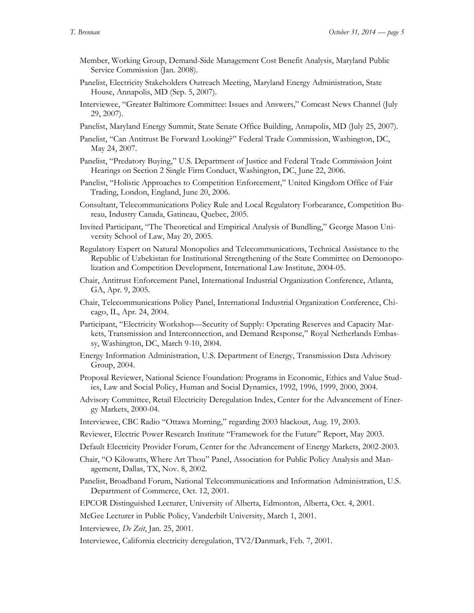- Member, Working Group, Demand-Side Management Cost Benefit Analysis, Maryland Public Service Commission (Jan. 2008).
- Panelist, Electricity Stakeholders Outreach Meeting, Maryland Energy Administration, State House, Annapolis, MD (Sep. 5, 2007).
- Interviewee, "Greater Baltimore Committee: Issues and Answers," Comcast News Channel (July 29, 2007).
- Panelist, Maryland Energy Summit, State Senate Office Building, Annapolis, MD (July 25, 2007).
- Panelist, "Can Antitrust Be Forward Looking?" Federal Trade Commission, Washington, DC, May 24, 2007.
- Panelist, "Predatory Buying," U.S. Department of Justice and Federal Trade Commission Joint Hearings on Section 2 Single Firm Conduct, Washington, DC, June 22, 2006.
- Panelist, "Holistic Approaches to Competition Enforcement," United Kingdom Office of Fair Trading, London, England, June 20, 2006.
- Consultant, Telecommunications Policy Rule and Local Regulatory Forbearance, Competition Bureau, Industry Canada, Gatineau, Quebec, 2005.
- Invited Participant, "The Theoretical and Empirical Analysis of Bundling," George Mason University School of Law, May 20, 2005.
- Regulatory Expert on Natural Monopolies and Telecommunications, Technical Assistance to the Republic of Uzbekistan for Institutional Strengthening of the State Committee on Demonopolization and Competition Development, International Law Institute, 2004-05.
- Chair, Antitrust Enforcement Panel, International Industrial Organization Conference, Atlanta, GA, Apr. 9, 2005.
- Chair, Telecommunications Policy Panel, International Industrial Organization Conference, Chicago, IL, Apr. 24, 2004.
- Participant, "Electricity Workshop—Security of Supply: Operating Reserves and Capacity Markets, Transmission and Interconnection, and Demand Response," Royal Netherlands Embassy, Washington, DC, March 9-10, 2004.
- Energy Information Administration, U.S. Department of Energy, Transmission Data Advisory Group, 2004.
- Proposal Reviewer, National Science Foundation: Programs in Economic, Ethics and Value Studies, Law and Social Policy, Human and Social Dynamics, 1992, 1996, 1999, 2000, 2004.
- Advisory Committee, Retail Electricity Deregulation Index, Center for the Advancement of Energy Markets, 2000-04.
- Interviewee, CBC Radio "Ottawa Morning," regarding 2003 blackout, Aug. 19, 2003.
- Reviewer, Electric Power Research Institute "Framework for the Future" Report, May 2003.
- Default Electricity Provider Forum, Center for the Advancement of Energy Markets, 2002-2003.
- Chair, "O Kilowatts, Where Art Thou" Panel, Association for Public Policy Analysis and Management, Dallas, TX, Nov. 8, 2002.
- Panelist, Broadband Forum, National Telecommunications and Information Administration, U.S. Department of Commerce, Oct. 12, 2001.
- EPCOR Distinguished Lecturer, University of Alberta, Edmonton, Alberta, Oct. 4, 2001.

McGee Lecturer in Public Policy, Vanderbilt University, March 1, 2001.

- Interviewee, *De Zeit*, Jan. 25, 2001.
- Interviewee, California electricity deregulation, TV2/Danmark, Feb. 7, 2001.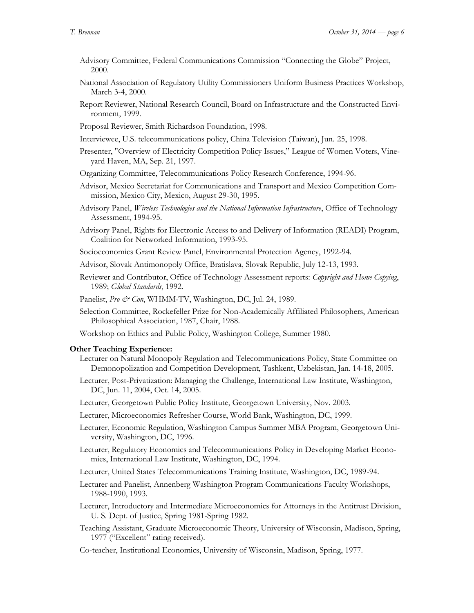- Advisory Committee, Federal Communications Commission "Connecting the Globe" Project, 2000.
- National Association of Regulatory Utility Commissioners Uniform Business Practices Workshop, March 3-4, 2000.
- Report Reviewer, National Research Council, Board on Infrastructure and the Constructed Environment, 1999.
- Proposal Reviewer, Smith Richardson Foundation, 1998.
- Interviewee, U.S. telecommunications policy, China Television (Taiwan), Jun. 25, 1998.
- Presenter, "Overview of Electricity Competition Policy Issues," League of Women Voters, Vineyard Haven, MA, Sep. 21, 1997.
- Organizing Committee, Telecommunications Policy Research Conference, 1994-96.
- Advisor, Mexico Secretariat for Communications and Transport and Mexico Competition Commission, Mexico City, Mexico, August 29-30, 1995.
- Advisory Panel, *Wireless Technologies and the National Information Infrastructure*, Office of Technology Assessment, 1994-95.
- Advisory Panel, Rights for Electronic Access to and Delivery of Information (READI) Program, Coalition for Networked Information, 1993-95.
- Socioeconomics Grant Review Panel, Environmental Protection Agency, 1992-94.
- Advisor, Slovak Antimonopoly Office, Bratislava, Slovak Republic, July 12-13, 1993.
- Reviewer and Contributor, Office of Technology Assessment reports: *Copyright and Home Copying*, 1989; *Global Standards*, 1992.
- Panelist, *Pro & Con*, WHMM-TV, Washington, DC, Jul. 24, 1989.
- Selection Committee, Rockefeller Prize for Non-Academically Affiliated Philosophers, American Philosophical Association, 1987, Chair, 1988.
- Workshop on Ethics and Public Policy, Washington College, Summer 1980.

#### **Other Teaching Experience:**

- Lecturer on Natural Monopoly Regulation and Telecommunications Policy, State Committee on Demonopolization and Competition Development, Tashkent, Uzbekistan, Jan. 14-18, 2005.
- Lecturer, Post-Privatization: Managing the Challenge, International Law Institute, Washington, DC, Jun. 11, 2004, Oct. 14, 2005.
- Lecturer, Georgetown Public Policy Institute, Georgetown University, Nov. 2003.
- Lecturer, Microeconomics Refresher Course, World Bank, Washington, DC, 1999.
- Lecturer, Economic Regulation, Washington Campus Summer MBA Program, Georgetown University, Washington, DC, 1996.
- Lecturer, Regulatory Economics and Telecommunications Policy in Developing Market Economies, International Law Institute, Washington, DC, 1994.
- Lecturer, United States Telecommunications Training Institute, Washington, DC, 1989-94.
- Lecturer and Panelist, Annenberg Washington Program Communications Faculty Workshops, 1988-1990, 1993.
- Lecturer, Introductory and Intermediate Microeconomics for Attorneys in the Antitrust Division, U. S. Dept. of Justice, Spring 1981-Spring 1982.
- Teaching Assistant, Graduate Microeconomic Theory, University of Wisconsin, Madison, Spring, 1977 ("Excellent" rating received).
- Co-teacher, Institutional Economics, University of Wisconsin, Madison, Spring, 1977.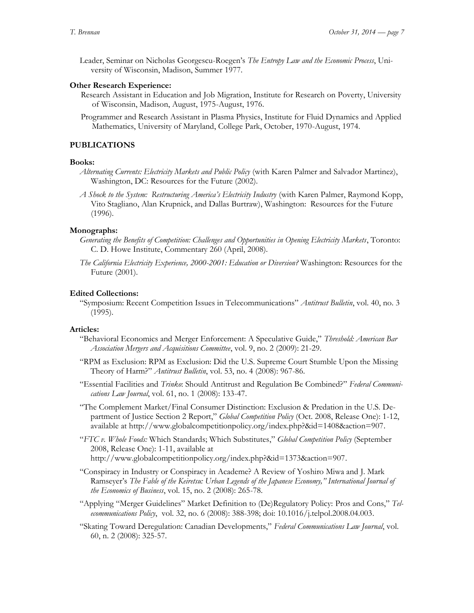Leader, Seminar on Nicholas Georgescu-Roegen's *The Entropy Law and the Economic Process*, University of Wisconsin, Madison, Summer 1977.

### **Other Research Experience:**

- Research Assistant in Education and Job Migration, Institute for Research on Poverty, University of Wisconsin, Madison, August, 1975-August, 1976.
- Programmer and Research Assistant in Plasma Physics, Institute for Fluid Dynamics and Applied Mathematics, University of Maryland, College Park, October, 1970-August, 1974.

# **PUBLICATIONS**

#### **Books:**

- *Alternating Currents: Electricity Markets and Public Policy* (with Karen Palmer and Salvador Martinez), Washington, DC: Resources for the Future (2002).
- *A Shock to the System: Restructuring America's Electricity Industry* (with Karen Palmer, Raymond Kopp, Vito Stagliano, Alan Krupnick, and Dallas Burtraw), Washington: Resources for the Future (1996).

#### **Monographs:**

- *Generating the Benefits of Competition: Challenges and Opportunities in Opening Electricity Markets*, Toronto: C. D. Howe Institute, Commentary 260 (April, 2008).
- *The California Electricity Experience, 2000-2001: Education or Diversion?* Washington: Resources for the Future (2001).

#### **Edited Collections:**

"Symposium: Recent Competition Issues in Telecommunications" *Antitrust Bulletin*, vol. 40, no. 3 (1995).

#### **Articles:**

- "Behavioral Economics and Merger Enforcement: A Speculative Guide," *Threshold: American Bar Association Mergers and Acquisitions Committee*, vol. 9, no. 2 (2009): 21-29.
- "RPM as Exclusion: RPM as Exclusion: Did the U.S. Supreme Court Stumble Upon the Missing Theory of Harm?" *Antitrust Bulletin*, vol. 53, no. 4 (2008): 967-86.
- "Essential Facilities and *Trinko*: Should Antitrust and Regulation Be Combined?" *Federal Communications Law Journal*, vol. 61, no. 1 (2008): 133-47.
- "The Complement Market/Final Consumer Distinction: Exclusion & Predation in the U.S. Department of Justice Section 2 Report," *Global Competition Policy* (Oct. 2008, Release One): 1-12, available at [http://www.globalcompetitionpolicy.org/index.php?&id=1408&action=907.](http://www.globalcompetitionpolicy.org/index.php?&id=1408&action=907)
- "*FTC v. Whole Foods:* Which Standards; Which Substitutes," *Global Competition Policy* (September 2008, Release One): 1-11, available at http://www.globalcompetitionpolicy.org/index.php?&id=1373&action=907.
- "Conspiracy in Industry or Conspiracy in Academe? A Review of Yoshiro Miwa and J. Mark Ramseyer's *The Fable of the Keiretsu: Urban Legends of the Japanese Economy," International Journal of the Economics of Business*, vol. 15, no. 2 (2008): 265-78.
- "Applying "Merger Guidelines" Market Definition to (De)Regulatory Policy: Pros and Cons," *Telecommunications Policy*, vol. 32, no. 6 (2008): 388-398; doi: 10.1016/j.telpol.2008.04.003.
- "Skating Toward Deregulation: Canadian Developments," *Federal Communications Law Journal*, vol. 60, n. 2 (2008): 325-57.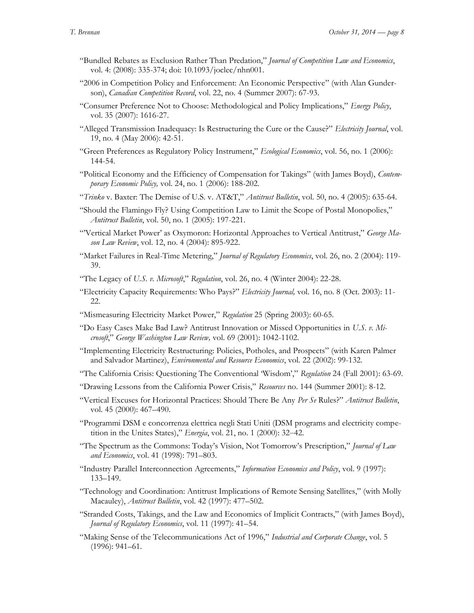- "Bundled Rebates as Exclusion Rather Than Predation," *Journal of Competition Law and Economics*, vol. 4: (2008): 335-374; doi: 10.1093/joclec/nhn001.
- "2006 in Competition Policy and Enforcement: An Economic Perspective" (with Alan Gunderson), *Canadian Competition Record*, vol. 22, no. 4 (Summer 2007): 67-93.
- "Consumer Preference Not to Choose: Methodological and Policy Implications," *Energy Policy*, vol. 35 (2007): 1616-27.
- "Alleged Transmission Inadequacy: Is Restructuring the Cure or the Cause?" *Electricity Journal*, vol. 19, no. 4 (May 2006): 42-51.
- "Green Preferences as Regulatory Policy Instrument," *Ecological Economics*, vol. 56, no. 1 (2006): 144-54.
- "Political Economy and the Efficiency of Compensation for Takings" (with James Boyd), *Contemporary Economic Policy,* vol. 24, no. 1 (2006): 188-202.
- "*Trinko* v. Baxter: The Demise of U.S. v. AT&T," *Antitrust Bulletin*, vol. 50, no. 4 (2005): 635-64.
- "Should the Flamingo Fly? Using Competition Law to Limit the Scope of Postal Monopolies," *Antitrust Bulletin*, vol. 50, no. 1 (2005): 197-221.
- "'Vertical Market Power' as Oxymoron: Horizontal Approaches to Vertical Antitrust," *George Mason Law Review*, vol. 12, no. 4 (2004): 895-922.
- "Market Failures in Real-Time Metering," *Journal of Regulatory Economics*, vol. 26, no. 2 (2004): 119- 39.
- "The Legacy of *U.S. v. Microsoft*," *Regulation*, vol. 26, no. 4 (Winter 2004): 22-28.
- "Electricity Capacity Requirements: Who Pays?" *Electricity Journal,* vol. 16, no. 8 (Oct. 2003): 11- 22.
- "Mismeasuring Electricity Market Power," *Regulation* 25 (Spring 2003): 60-65.
- "Do Easy Cases Make Bad Law? Antitrust Innovation or Missed Opportunities in *U.S. v. Microsoft*," *George Washington Law Review,* vol. 69 (2001): 1042-1102.
- "Implementing Electricity Restructuring: Policies, Potholes, and Prospects" (with Karen Palmer and Salvador Martinez), *Environmental and Resource Economics*, vol. 22 (2002): 99-132.
- "The California Crisis: Questioning The Conventional 'Wisdom'," *Regulation* 24 (Fall 2001): 63-69.
- "Drawing Lessons from the California Power Crisis," *Resources* no. 144 (Summer 2001): 8-12.
- "Vertical Excuses for Horizontal Practices: Should There Be Any *Per Se* Rules?" *Antitrust Bulletin*, vol. 45 (2000): 467–490.
- "Programmi DSM e concorrenza elettrica negli Stati Uniti (DSM programs and electricity competition in the Unites States)," *Energia*, vol. 21, no. 1 (2000): 32–42.
- "The Spectrum as the Commons: Today's Vision, Not Tomorrow's Prescription," *Journal of Law and Economics*, vol. 41 (1998): 791–803.
- "Industry Parallel Interconnection Agreements," *Information Economics and Policy*, vol. 9 (1997): 133–149.
- "Technology and Coordination: Antitrust Implications of Remote Sensing Satellites," (with Molly Macauley), *Antitrust Bulletin*, vol. 42 (1997): 477–502.
- "Stranded Costs, Takings, and the Law and Economics of Implicit Contracts," (with James Boyd), *Journal of Regulatory Economics*, vol. 11 (1997): 41–54.
- "Making Sense of the Telecommunications Act of 1996," *Industrial and Corporate Change*, vol. 5 (1996): 941–61.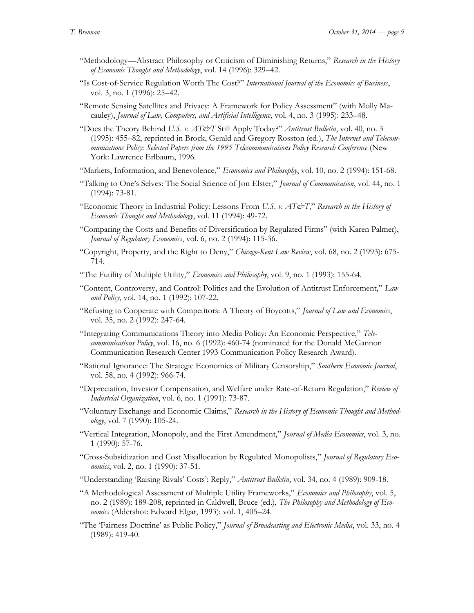- "Methodology—Abstract Philosophy or Criticism of Diminishing Returns," *Research in the History of Economic Thought and Methodology*, vol. 14 (1996): 329–42.
- "Is Cost-of-Service Regulation Worth The Cost?" *International Journal of the Economics of Business*, vol. 3, no. 1 (1996): 25–42.
- "Remote Sensing Satellites and Privacy: A Framework for Policy Assessment" (with Molly Macauley), *Journal of Law, Computers, and Artificial Intelligence*, vol. 4, no. 3 (1995): 233–48.
- "Does the Theory Behind *U.S. v. AT&T* Still Apply Today?" *Antitrust Bulletin*, vol. 40, no. 3 (1995): 455–82, reprinted in Brock, Gerald and Gregory Rosston (ed.), *The Internet and Telecommunications Policy: Selected Papers from the 1995 Telecommunications Policy Research Conference* (New York: Lawrence Erlbaum, 1996.
- "Markets, Information, and Benevolence," *Economics and Philosophy*, vol. 10, no. 2 (1994): 151-68.
- "Talking to One's Selves: The Social Science of Jon Elster," *Journal of Communication*, vol. 44, no. 1 (1994): 73-81.
- "Economic Theory in Industrial Policy: Lessons From *U.S. v. AT&T*," Research in the History of *Economic Thought and Methodology*, vol. 11 (1994): 49-72.
- "Comparing the Costs and Benefits of Diversification by Regulated Firms" (with Karen Palmer), *Journal of Regulatory Economics*, vol. 6, no. 2 (1994): 115-36.
- "Copyright, Property, and the Right to Deny," *Chicago-Kent Law Review*, vol. 68, no. 2 (1993): 675- 714.
- "The Futility of Multiple Utility," *Economics and Philosophy*, vol. 9, no. 1 (1993): 155-64.
- "Content, Controversy, and Control: Politics and the Evolution of Antitrust Enforcement," *Law and Policy*, vol. 14, no. 1 (1992): 107-22.
- "Refusing to Cooperate with Competitors: A Theory of Boycotts," *Journal of Law and Economics*, vol. 35, no. 2 (1992): 247-64.
- "Integrating Communications Theory into Media Policy: An Economic Perspective," *Telecommunications Policy*, vol. 16, no. 6 (1992): 460-74 (nominated for the Donald McGannon Communication Research Center 1993 Communication Policy Research Award).
- "Rational Ignorance: The Strategic Economics of Military Censorship," *Southern Economic Journal*, vol. 58, no. 4 (1992): 966-74.
- "Depreciation, Investor Compensation, and Welfare under Rate-of-Return Regulation," *Review of Industrial Organization*, vol. 6, no. 1 (1991): 73-87.
- "Voluntary Exchange and Economic Claims," *Research in the History of Economic Thought and Methodology*, vol. 7 (1990): 105-24.
- "Vertical Integration, Monopoly, and the First Amendment," *Journal of Media Economics*, vol. 3, no. 1 (1990): 57-76.
- "Cross-Subsidization and Cost Misallocation by Regulated Monopolists," *Journal of Regulatory Economics*, vol. 2, no. 1 (1990): 37-51.
- "Understanding 'Raising Rivals' Costs': Reply," *Antitrust Bulletin*, vol. 34, no. 4 (1989): 909-18.
- "A Methodological Assessment of Multiple Utility Frameworks," *Economics and Philosophy*, vol. 5, no. 2 (1989): 189-208, reprinted in Caldwell, Bruce (ed.), *The Philosophy and Methodology of Economics* (Aldershot: Edward Elgar, 1993): vol. 1, 405–24.
- "The 'Fairness Doctrine' as Public Policy," *Journal of Broadcasting and Electronic Media*, vol. 33, no. 4 (1989): 419-40.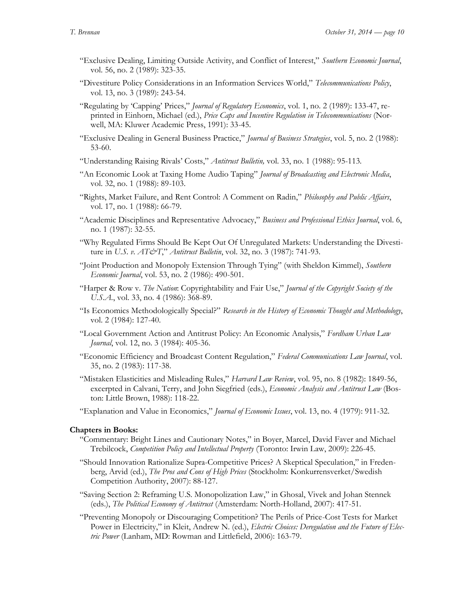- "Exclusive Dealing, Limiting Outside Activity, and Conflict of Interest," *Southern Economic Journal*, vol. 56, no. 2 (1989): 323-35.
- "Divestiture Policy Considerations in an Information Services World," *Telecommunications Policy*, vol. 13, no. 3 (1989): 243-54.
- "Regulating by 'Capping' Prices," *Journal of Regulatory Economics*, vol. 1, no. 2 (1989): 133-47, reprinted in Einhorn, Michael (ed.), *Price Caps and Incentive Regulation in Telecommunications* (Norwell, MA: Kluwer Academic Press, 1991): 33-45.
- "Exclusive Dealing in General Business Practice," *Journal of Business Strategies*, vol. 5, no. 2 (1988): 53-60.
- "Understanding Raising Rivals' Costs," *Antitrust Bulletin,* vol. 33, no. 1 (1988): 95-113*.*
- "An Economic Look at Taxing Home Audio Taping" *Journal of Broadcasting and Electronic Media*, vol. 32, no. 1 (1988): 89-103.
- "Rights, Market Failure, and Rent Control: A Comment on Radin," *Philosophy and Public Affairs*, vol. 17, no. 1 (1988): 66-79.
- "Academic Disciplines and Representative Advocacy," *Business and Professional Ethics Journal*, vol. 6, no. 1 (1987): 32-55.
- "Why Regulated Firms Should Be Kept Out Of Unregulated Markets: Understanding the Divestiture in *U.S. v. AT&T*," *Antitrust Bulletin*, vol. 32, no. 3 (1987): 741-93.
- "Joint Production and Monopoly Extension Through Tying" (with Sheldon Kimmel), *Southern Economic Journal*, vol. 53, no. 2 (1986): 490-501.
- "Harper & Row v. *The Nation*: Copyrightability and Fair Use," *Journal of the Copyright Society of the U.S.A.*, vol. 33, no. 4 (1986): 368-89.
- "Is Economics Methodologically Special?" *Research in the History of Economic Thought and Methodology*, vol. 2 (1984): 127-40.
- "Local Government Action and Antitrust Policy: An Economic Analysis," *Fordham Urban Law Journal*, vol. 12, no. 3 (1984): 405-36.
- "Economic Efficiency and Broadcast Content Regulation," *Federal Communications Law Journal*, vol. 35, no. 2 (1983): 117-38.
- "Mistaken Elasticities and Misleading Rules," *Harvard Law Review*, vol. 95, no. 8 (1982): 1849-56, excerpted in Calvani, Terry, and John Siegfried (eds.), *Economic Analysis and Antitrust Law* (Boston: Little Brown, 1988): 118-22.
- "Explanation and Value in Economics," *Journal of Economic Issues*, vol. 13, no. 4 (1979): 911-32.

#### **Chapters in Books:**

- "Commentary: Bright Lines and Cautionary Notes," in Boyer, Marcel, David Faver and Michael Trebilcock, *Competition Policy and Intellectual Property* (Toronto: Irwin Law, 2009): 226-45.
- "Should Innovation Rationalize Supra-Competitive Prices? A Skeptical Speculation," in Fredenberg, Arvid (ed.), *The Pros and Cons of High Prices* (Stockholm: Konkurrensverket/Swedish Competition Authority, 2007): 88-127.
- "Saving Section 2: Reframing U.S. Monopolization Law," in Ghosal, Vivek and Johan Stennek (eds.), *The Political Economy of Antitrust* (Amsterdam: North-Holland, 2007): 417-51.
- "Preventing Monopoly or Discouraging Competition? The Perils of Price-Cost Tests for Market Power in Electricity," in Kleit, Andrew N. (ed.), *Electric Choices: Deregulation and the Future of Electric Power* (Lanham, MD: Rowman and Littlefield, 2006): 163-79.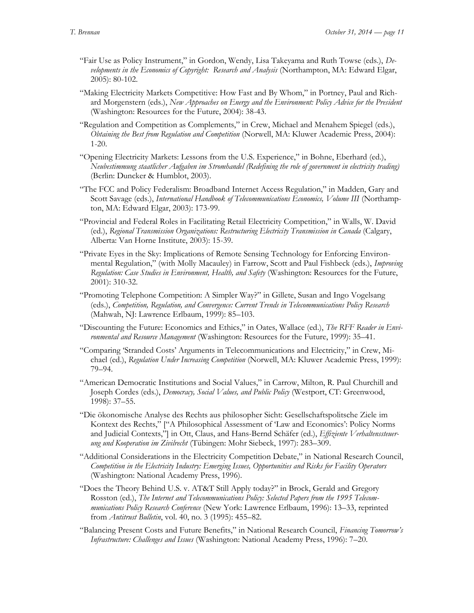- "Fair Use as Policy Instrument," in Gordon, Wendy, Lisa Takeyama and Ruth Towse (eds.), *Developments in the Economics of Copyright: Research and Analysis* (Northampton, MA: Edward Elgar, 2005): 80-102.
- "Making Electricity Markets Competitive: How Fast and By Whom," in Portney, Paul and Richard Morgenstern (eds.), *New Approaches on Energy and the Environment: Policy Advice for the President* (Washington: Resources for the Future, 2004): 38-43.
- "Regulation and Competition as Complements," in Crew, Michael and Menahem Spiegel (eds.), *Obtaining the Best from Regulation and Competition* (Norwell, MA: Kluwer Academic Press, 2004): 1-20.
- "Opening Electricity Markets: Lessons from the U.S. Experience," in Bohne, Eberhard (ed.), *Neubestimmung staatlicher Aufgaben im Stromhandel (Redefining the role of government in electricity trading)* (Berlin: Duncker & Humblot, 2003).
- "The FCC and Policy Federalism: Broadband Internet Access Regulation," in Madden, Gary and Scott Savage (eds.), *International Handbook of Telecommunications Economics, Volume III* (Northampton, MA: Edward Elgar, 2003): 173-99.
- "Provincial and Federal Roles in Facilitating Retail Electricity Competition," in Walls, W. David (ed.), *Regional Transmission Organizations: Restructuring Electricity Transmission in Canada* (Calgary, Alberta: Van Horne Institute, 2003): 15-39.
- "Private Eyes in the Sky: Implications of Remote Sensing Technology for Enforcing Environmental Regulation," (with Molly Macauley) in Farrow, Scott and Paul Fishbeck (eds.), *Improving Regulation: Case Studies in Environment, Health, and Safety* (Washington: Resources for the Future, 2001): 310-32.
- "Promoting Telephone Competition: A Simpler Way?" in Gillete, Susan and Ingo Vogelsang (eds.), *Competition, Regulation, and Convergence: Current Trends in Telecommunications Policy Research*  (Mahwah, NJ: Lawrence Erlbaum, 1999): 85–103.
- "Discounting the Future: Economics and Ethics," in Oates, Wallace (ed.), *The RFF Reader in Environmental and Resource Management* (Washington: Resources for the Future, 1999): 35–41.
- "Comparing 'Stranded Costs' Arguments in Telecommunications and Electricity," in Crew, Michael (ed.), *Regulation Under Increasing Competition* (Norwell, MA: Kluwer Academic Press, 1999): 79–94.
- "American Democratic Institutions and Social Values," in Carrow, Milton, R. Paul Churchill and Joseph Cordes (eds.), *Democracy, Social Values, and Public Policy* (Westport, CT: Greenwood, 1998): 37–55.
- "Die ökonomische Analyse des Rechts aus philosopher Sicht: Gesellschaftspolitsche Ziele im Kontext des Rechts," ["A Philosophical Assessment of 'Law and Economics': Policy Norms and Judicial Contexts,"] in Ott, Claus, and Hans-Bernd Schäfer (ed.), *Effiziente Verhaltenssteuerung und Kooperation im Zivilrecht* (Tübingen: Mohr Siebeck, 1997): 283–309.
- "Additional Considerations in the Electricity Competition Debate," in National Research Council, *Competition in the Electricity Industry: Emerging Issues, Opportunities and Risks for Facility Operators* (Washington: National Academy Press, 1996).
- "Does the Theory Behind U.S. v. AT&T Still Apply today?" in Brock, Gerald and Gregory Rosston (ed.), *The Internet and Telecommunications Policy: Selected Papers from the 1995 Telecommunications Policy Research Conference* (New York: Lawrence Erlbaum, 1996): 13–33, reprinted from *Antitrust Bulletin*, vol. 40, no. 3 (1995): 455–82.
- "Balancing Present Costs and Future Benefits," in National Research Council, *Financing Tomorrow's Infrastructure: Challenges and Issues* (Washington: National Academy Press, 1996): 7–20.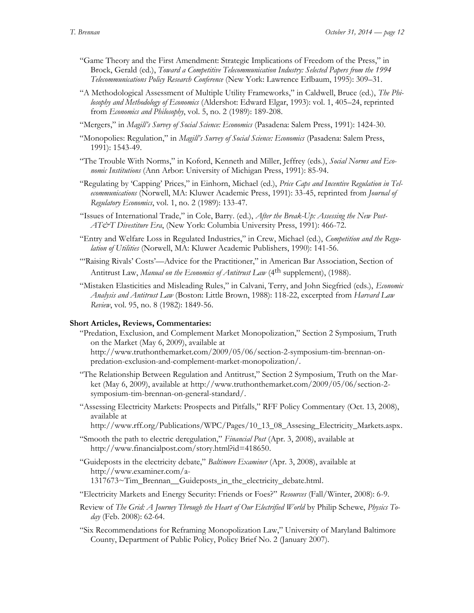- "Game Theory and the First Amendment: Strategic Implications of Freedom of the Press," in Brock, Gerald (ed.), *Toward a Competitive Telecommunication Industry: Selected Papers from the 1994 Telecommunications Policy Research Conference* (New York: Lawrence Erlbaum, 1995): 309–31.
- "A Methodological Assessment of Multiple Utility Frameworks," in Caldwell, Bruce (ed.), *The Philosophy and Methodology of Economics* (Aldershot: Edward Elgar, 1993): vol. 1, 405–24, reprinted from *Economics and Philosophy*, vol. 5, no. 2 (1989): 189-208.
- "Mergers," in *Magill's Survey of Social Science: Economics* (Pasadena: Salem Press, 1991): 1424-30.
- "Monopolies: Regulation," in *Magill's Survey of Social Science: Economics* (Pasadena: Salem Press, 1991): 1543-49.
- "The Trouble With Norms," in Koford, Kenneth and Miller, Jeffrey (eds.), *Social Norms and Economic Institutions* (Ann Arbor: University of Michigan Press, 1991): 85-94.
- "Regulating by 'Capping' Prices," in Einhorn, Michael (ed.), *Price Caps and Incentive Regulation in Telecommunications* (Norwell, MA: Kluwer Academic Press, 1991): 33-45, reprinted from *Journal of Regulatory Economics*, vol. 1, no. 2 (1989): 133-47.
- "Issues of International Trade," in Cole, Barry. (ed.), *After the Break-Up: Assessing the New Post-AT&T Divestiture Era*, (New York: Columbia University Press, 1991): 466-72.
- "Entry and Welfare Loss in Regulated Industries," in Crew, Michael (ed.), *Competition and the Regulation of Utilities* (Norwell, MA: Kluwer Academic Publishers, 1990): 141-56.
- "'Raising Rivals' Costs'—Advice for the Practitioner," in American Bar Association, Section of Antitrust Law, *Manual on the Economics of Antitrust Law* (4th supplement), (1988).
- "Mistaken Elasticities and Misleading Rules," in Calvani, Terry, and John Siegfried (eds.), *Economic Analysis and Antitrust Law* (Boston: Little Brown, 1988): 118-22, excerpted from *Harvard Law Review*, vol. 95, no. 8 (1982): 1849-56.

### **Short Articles, Reviews, Commentaries:**

- "Predation, Exclusion, and Complement Market Monopolization," Section 2 Symposium, Truth on the Market (May 6, 2009), available at [http://www.truthonthemarket.com/2009/05/06/section-2-symposium-tim-brennan-on](http://www.truthonthemarket.com/2009/05/06/section-2-symposium-tim-brennan-on-predation-exclusion-and-complement-market-monopolization/)[predation-exclusion-and-complement-market-monopolization/.](http://www.truthonthemarket.com/2009/05/06/section-2-symposium-tim-brennan-on-predation-exclusion-and-complement-market-monopolization/)
- "The Relationship Between Regulation and Antitrust," Section 2 Symposium, Truth on the Market (May 6, 2009), available at [http://www.truthonthemarket.com/2009/05/06/section-2](http://www.truthonthemarket.com/2009/05/06/section-2-symposium-tim-brennan-on-general-standard/) [symposium-tim-brennan-on-general-standard/.](http://www.truthonthemarket.com/2009/05/06/section-2-symposium-tim-brennan-on-general-standard/)
- "Assessing Electricity Markets: Prospects and Pitfalls," RFF Policy Commentary (Oct. 13, 2008), available at
	- [http://www.rff.org/Publications/WPC/Pages/10\\_13\\_08\\_Assesing\\_Electricity\\_Markets.aspx.](http://www.rff.org/Publications/WPC/Pages/10_13_08_Assesing_Electricity_Markets.aspx)
- "Smooth the path to electric deregulation," *Financial Post* (Apr. 3, 2008), available at [http://www.financialpost.com/story.html?id=418650.](http://www.financialpost.com/story.html?id=418650)
- "Guideposts in the electricity debate," *Baltimore Examiner* (Apr. 3, 2008), available at [http://www.examiner.com/a-](http://www.examiner.com/a-1317673~Tim_Brennan__Guideposts_in_the_electricity_debate.html)

[1317673~Tim\\_Brennan\\_\\_Guideposts\\_in\\_the\\_electricity\\_debate.html.](http://www.examiner.com/a-1317673~Tim_Brennan__Guideposts_in_the_electricity_debate.html)

- "Electricity Markets and Energy Security: Friends or Foes?" *Resources* (Fall/Winter, 2008): 6-9.
- Review of *The Grid: A Journey Through the Heart of Our Electrified World* by Philip Schewe, *Physics Today* (Feb. 2008): 62-64.
- "Six Recommendations for Reframing Monopolization Law," University of Maryland Baltimore County, Department of Public Policy, Policy Brief No. 2 (January 2007).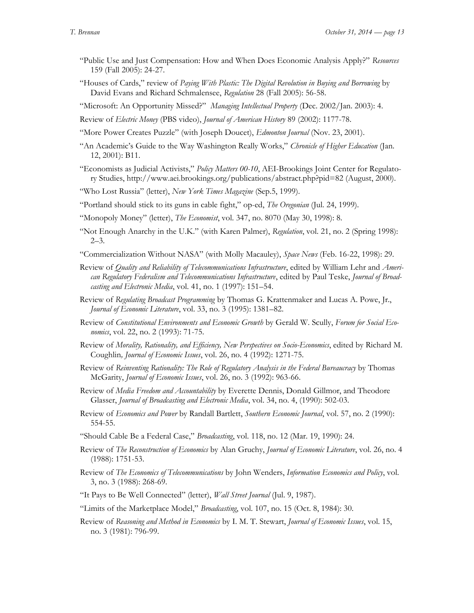- "Public Use and Just Compensation: How and When Does Economic Analysis Apply?" *Resources* 159 (Fall 2005): 24-27.
- "Houses of Cards," review of *Paying With Plastic: The Digital Revolution in Buying and Borrowing* by David Evans and Richard Schmalensee, *Regulation* 28 (Fall 2005): 56-58.
- "Microsoft: An Opportunity Missed?" *Managing Intellectual Property* (Dec. 2002/Jan. 2003): 4.
- Review of *Electric Money* (PBS video), *Journal of American History* 89 (2002): 1177-78.
- "More Power Creates Puzzle" (with Joseph Doucet), *Edmonton Journal* (Nov. 23, 2001).
- "An Academic's Guide to the Way Washington Really Works," *Chronicle of Higher Education* (Jan. 12, 2001): B11.
- "Economists as Judicial Activists," *Policy Matters 00-10*, AEI-Brookings Joint Center for Regulatory Studies, http://www.aei.brookings.org/publications/abstract.php?pid=82 (August, 2000).
- "Who Lost Russia" (letter), *New York Times Magazine* (Sep.5, 1999).
- "Portland should stick to its guns in cable fight," op-ed, *The Oregonian* (Jul. 24, 1999).
- "Monopoly Money" (letter), *The Economist*, vol. 347, no. 8070 (May 30, 1998): 8.
- "Not Enough Anarchy in the U.K." (with Karen Palmer), *Regulation*, vol. 21, no. 2 (Spring 1998):  $2 - 3$ .
- "Commercialization Without NASA" (with Molly Macauley), *Space News* (Feb. 16-22, 1998): 29.
- Review of *Quality and Reliability of Telecommunications Infrastructure*, edited by William Lehr and *American Regulatory Federalism and Telecommunications Infrastructure*, edited by Paul Teske, *Journal of Broadcasting and Electronic Media*, vol. 41, no. 1 (1997): 151–54.
- Review of *Regulating Broadcast Programming* by Thomas G. Krattenmaker and Lucas A. Powe, Jr., *Journal of Economic Literature*, vol. 33, no. 3 (1995): 1381–82.
- Review of *Constitutional Environments and Economic Growth* by Gerald W. Scully, *Forum for Social Economics*, vol. 22, no. 2 (1993): 71-75.
- Review of *Morality, Rationality, and Efficiency, New Perspectives on Socio-Economics*, edited by Richard M. Coughlin*, Journal of Economic Issues*, vol. 26, no. 4 (1992): 1271-75.
- Review of *Reinventing Rationality: The Role of Regulatory Analysis in the Federal Bureaucracy* by Thomas McGarity, *Journal of Economic Issues*, vol. 26, no. 3 (1992): 963-66.
- Review of *Media Freedom and Accountability* by Everette Dennis, Donald Gillmor, and Theodore Glasser, *Journal of Broadcasting and Electronic Media*, vol. 34, no. 4, (1990): 502-03.
- Review of *Economics and Power* by Randall Bartlett, *Southern Economic Journal*, vol. 57, no. 2 (1990): 554-55.
- "Should Cable Be a Federal Case," *Broadcasting*, vol. 118, no. 12 (Mar. 19, 1990): 24.
- Review of *The Reconstruction of Economics* by Alan Gruchy, *Journal of Economic Literature*, vol. 26, no. 4 (1988): 1751-53.
- Review of *The Economics of Telecommunications* by John Wenders, *Information Economics and Policy*, vol. 3, no. 3 (1988): 268-69.
- "It Pays to Be Well Connected" (letter), *Wall Street Journal* (Jul. 9, 1987).
- "Limits of the Marketplace Model," *Broadcasting*, vol. 107, no. 15 (Oct. 8, 1984): 30.
- Review of *Reasoning and Method in Economics* by I. M. T. Stewart, *Journal of Economic Issues*, vol. 15, no. 3 (1981): 796-99.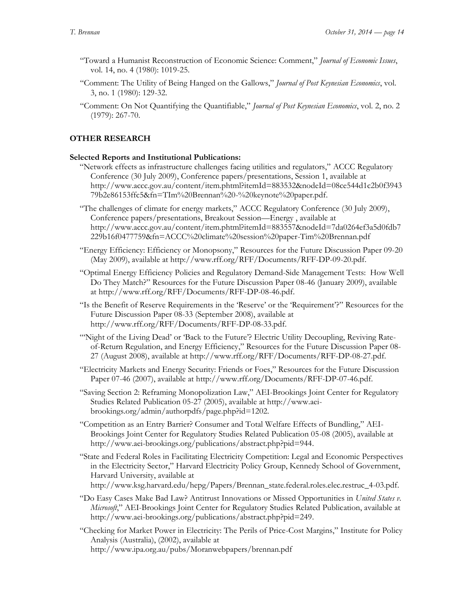- "Toward a Humanist Reconstruction of Economic Science: Comment," *Journal of Economic Issues*, vol. 14, no. 4 (1980): 1019-25.
- "Comment: The Utility of Being Hanged on the Gallows," *Journal of Post Keynesian Economics*, vol. 3, no. 1 (1980): 129-32.
- "Comment: On Not Quantifying the Quantifiable," *Journal of Post Keynesian Economics*, vol. 2, no. 2 (1979): 267-70.

# **OTHER RESEARCH**

# **Selected Reports and Institutional Publications:**

"Network effects as infrastructure challenges facing utilities and regulators," [ACCC Regulatory](http://www.accc.gov.au/content/index.phtml/itemId/861204)  [Conference \(30 July 2009\),](http://www.accc.gov.au/content/index.phtml/itemId/861204) [Conference papers/presentations,](http://www.accc.gov.au/content/index.phtml/itemId/883531) Session 1, available at [http://www.accc.gov.au/content/item.phtml?itemId=883532&nodeId=08ce544d1c2b0f3943](http://www.accc.gov.au/content/item.phtml?itemId=883532&nodeId=08ce544d1c2b0f394379b2e86153ffc5&fn=TIm%20Brennan%20-%20keynote%20paper.pdf) [79b2e86153ffc5&fn=TIm%20Brennan%20-%20keynote%20paper.pdf.](http://www.accc.gov.au/content/item.phtml?itemId=883532&nodeId=08ce544d1c2b0f394379b2e86153ffc5&fn=TIm%20Brennan%20-%20keynote%20paper.pdf)

"The challenges of climate for energy markets," [ACCC Regulatory Conference \(30 July 2009\),](http://www.accc.gov.au/content/index.phtml/itemId/861204) [Conference papers/presentations,](http://www.accc.gov.au/content/index.phtml/itemId/883531) Breakout Session—Energy , available at [http://www.accc.gov.au/content/item.phtml?itemId=883557&nodeId=7da0264ef3a5d0fdb7](http://www.accc.gov.au/content/item.phtml?itemId=883557&nodeId=7da0264ef3a5d0fdb7229b16f0477759&fn=ACCC%20climate%20session%20paper-Tim%20Brennan.pdf) [229b16f0477759&fn=ACCC%20climate%20session%20paper-Tim%20Brennan.pdf](http://www.accc.gov.au/content/item.phtml?itemId=883557&nodeId=7da0264ef3a5d0fdb7229b16f0477759&fn=ACCC%20climate%20session%20paper-Tim%20Brennan.pdf)

"Energy Efficiency: Efficiency or Monopsony," Resources for the Future Discussion Paper 09-20 (May 2009), available at [http://www.rff.org/RFF/Documents/RFF-DP-09-20.pdf.](http://www.rff.org/RFF/Documents/RFF-DP-09-20.pdf)

"Optimal Energy Efficiency Policies and Regulatory Demand-Side Management Tests: How Well Do They Match?" Resources for the Future Discussion Paper 08-46 (January 2009), available at http://www.rff.org/RFF/Documents/RFF-DP-08-46.pdf.

"Is the Benefit of Reser[ve Requirements in the 'Reserve' or the 'Requirement'](http://www.rff.org/RFF/Documents/RFF-DP-08-33.pdf)?" Resources for the Future Discussion Paper 08-33 (September 2008), available at http://www.rff.org/RFF/Documents/RFF-DP-08-33.pdf.

"'Night of the Living Dead' or 'Back to the Future'[? Electric Utility Decoupling, Reviving Rate](http://www.rff.org/RFF/Documents/RFF-DP-08-27.pdf)[of-Return Regulation, and Energy Efficiency,](http://www.rff.org/RFF/Documents/RFF-DP-08-27.pdf)" Resources for the Future Discussion Paper 08- 27 (August 2008), available at http://www.rff.org/RFF/Documents/RFF-DP-08-27.pdf.

"Electricity Markets and Energy Security: Friends or Foes," Resources for the Future Discussion Paper 07-46 (2007), available at [http://www.rff.org/Documents/RFF-DP-07-46.pdf.](http://www.rff.org/Documents/RFF-DP-07-46.pdf) 

"Saving Section 2: Reframing Monopolization Law," AEI-Brookings Joint Center for Regulatory Studies Related Publication 05-27 (2005), available at http://www.aeibrookings.org/admin/authorpdfs/page.php?id=1202.

"Competition as an Entry Barrier? Consumer and Total Welfare Effects of Bundling," AEI-Brookings Joint Center for Regulatory Studies Related Publication 05-08 (2005), available at [http://www.aei-brookings.org/publications/abstract.php?pid=944.](http://www.aei-brookings.org/publications/abstract.php?pid=944)

"State and Federal Roles in Facilitating Electricity Competition: Legal and Economic Perspectives in the Electricity Sector," Harvard Electricity Policy Group, Kennedy School of Government, Harvard University, available at [http://www.ksg.harvard.edu/hepg/Papers/Brennan\\_state.federal.roles.elec.restruc\\_4-03.pdf.](http://www.ksg.harvard.edu/hepg/Papers/Brennan_state.federal.roles.elec.restruc_4-03.pdf)

"Do Easy Cases Make Bad Law? Antitrust Innovations or Missed Opportunities in *United States v. Microsoft*," AEI-Brookings Joint Center for Regulatory Studies Related Publication, available at [http://www.aei-brookings.org/publications/abstract.php?pid=249.](http://www.aei-brookings.org/publications/abstract.php?pid=249)

"Checking for Market Power in Electricity: The Perils of Price-Cost Margins," Institute for Policy Analysis (Australia), (2002), available at <http://www.ipa.org.au/pubs/Moranwebpapers/brennan.pdf>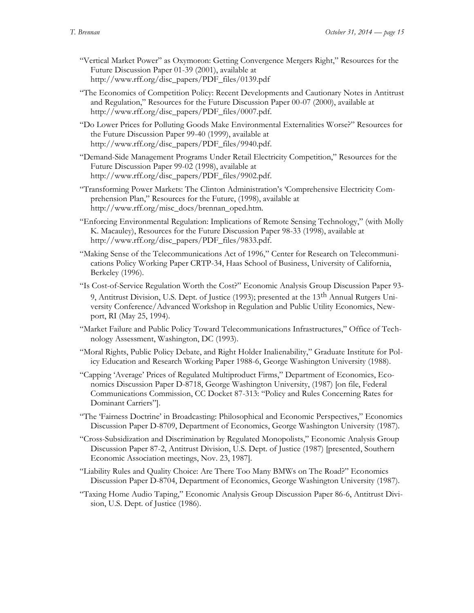- "Vertical Market Power" as Oxymoron: Getting Convergence Mergers Right," Resources for the Future Discussion Paper 01-39 (2001), available at [http://www.rff.org/disc\\_papers/PDF\\_files/0139.pdf](http://www.rff.org/disc_papers/PDF_files/0139.pdf)
- "The Economics of Competition Policy: Recent Developments and Cautionary Notes in Antitrust and Regulation," Resources for the Future Discussion Paper 00-07 (2000), available at http://www.rff.org/disc\_papers/PDF\_files/0007.pdf.
- "Do Lower Prices for Polluting Goods Make Environmental Externalities Worse?" Resources for the Future Discussion Paper 99-40 (1999), available at http://www.rff.org/disc\_papers/PDF\_files/9940.pdf.
- "Demand-Side Management Programs Under Retail Electricity Competition," Resources for the Future Discussion Paper 99-02 (1998), available at http://www.rff.org/disc\_papers/PDF\_files/9902.pdf.
- "Transforming Power Markets: The Clinton Administration's 'Comprehensive Electricity Comprehension Plan," Resources for the Future, (1998), available at http://www.rff.org/misc\_docs/brennan\_oped.htm.
- "Enforcing Environmental Regulation: Implications of Remote Sensing Technology," (with Molly K. Macauley), Resources for the Future Discussion Paper 98-33 (1998), available at http://www.rff.org/disc\_papers/PDF\_files/9833.pdf.
- "Making Sense of the Telecommunications Act of 1996," Center for Research on Telecommunications Policy Working Paper CRTP-34, Haas School of Business, University of California, Berkeley (1996).
- "Is Cost-of-Service Regulation Worth the Cost?" Economic Analysis Group Discussion Paper 93- 9, Antitrust Division, U.S. Dept. of Justice (1993); presented at the 13<sup>th</sup> Annual Rutgers University Conference/Advanced Workshop in Regulation and Public Utility Economics, Newport, RI (May 25, 1994).
- "Market Failure and Public Policy Toward Telecommunications Infrastructures," Office of Technology Assessment, Washington, DC (1993).
- "Moral Rights, Public Policy Debate, and Right Holder Inalienability," Graduate Institute for Policy Education and Research Working Paper 1988-6, George Washington University (1988).
- "Capping 'Average' Prices of Regulated Multiproduct Firms," Department of Economics, Economics Discussion Paper D-8718, George Washington University, (1987) [on file, Federal Communications Commission, CC Docket 87-313: "Policy and Rules Concerning Rates for Dominant Carriers"].
- "The 'Fairness Doctrine' in Broadcasting: Philosophical and Economic Perspectives," Economics Discussion Paper D-8709, Department of Economics, George Washington University (1987).
- "Cross-Subsidization and Discrimination by Regulated Monopolists," Economic Analysis Group Discussion Paper 87-2, Antitrust Division, U.S. Dept. of Justice (1987) [presented, Southern Economic Association meetings, Nov. 23, 1987].
- "Liability Rules and Quality Choice: Are There Too Many BMWs on The Road?" Economics Discussion Paper D-8704, Department of Economics, George Washington University (1987).
- "Taxing Home Audio Taping," Economic Analysis Group Discussion Paper 86-6, Antitrust Division, U.S. Dept. of Justice (1986).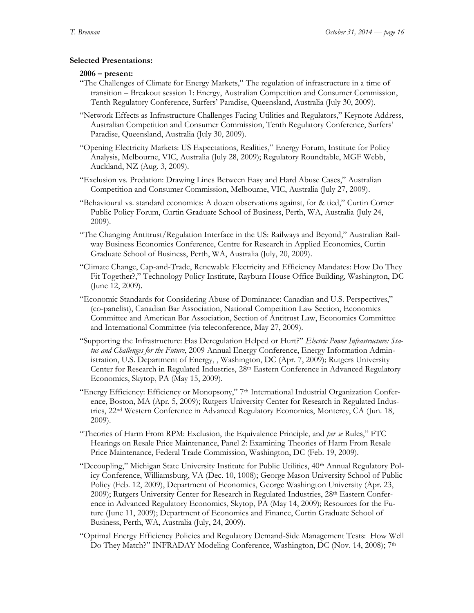# **Selected Presentations:**

### **2006 – present:**

- "The Challenges of Climate for Energy Markets," The regulation of infrastructure in a time of transition – Breakout session 1: Energy, Australian Competition and Consumer Commission, Tenth Regulatory Conference, Surfers' Paradise, Queensland, Australia (July 30, 2009).
- "Network Effects as Infrastructure Challenges Facing Utilities and Regulators," Keynote Address, Australian Competition and Consumer Commission, Tenth Regulatory Conference, Surfers' Paradise, Queensland, Australia (July 30, 2009).
- "Opening Electricity Markets: US Expectations, Realities," Energy Forum, Institute for Policy Analysis, Melbourne, VIC, Australia (July 28, 2009); Regulatory Roundtable, MGF Webb, Auckland, NZ (Aug. 3, 2009).
- "Exclusion vs. Predation: Drawing Lines Between Easy and Hard Abuse Cases," Australian Competition and Consumer Commission, Melbourne, VIC, Australia (July 27, 2009).
- "Behavioural vs. standard economics: A dozen observations against, for & tied," Curtin Corner Public Policy Forum, Curtin Graduate School of Business, Perth, WA, Australia (July 24, 2009).
- "The Changing Antitrust/Regulation Interface in the US: Railways and Beyond," Australian Railway Business Economics Conference, Centre for Research in Applied Economics, Curtin Graduate School of Business, Perth, WA, Australia (July, 20, 2009).
- "Climate Change, Cap-and-Trade, Renewable Electricity and Efficiency Mandates: How Do They Fit Together?," Technology Policy Institute, Rayburn House Office Building, Washington, DC (June 12, 2009).
- "Economic Standards for Considering Abuse of Dominance: Canadian and U.S. Perspectives," (co-panelist), Canadian Bar Association, National Competition Law Section, Economics Committee and American Bar Association, Section of Antitrust Law, Economics Committee and International Committee (via teleconference, May 27, 2009).
- "Supporting the Infrastructure: Has Deregulation Helped or Hurt?" *Electric Power Infrastructure: Status and Challenges for the Future*, 2009 Annual Energy Conference, Energy Information Administration, U.S. Department of Energy, , Washington, DC (Apr. 7, 2009); Rutgers University Center for Research in Regulated Industries, 28<sup>th</sup> Eastern Conference in Advanced Regulatory Economics, Skytop, PA (May 15, 2009).
- "Energy Efficiency: Efficiency or Monopsony," 7<sup>th</sup> International Industrial Organization Conference, Boston, MA (Apr. 5, 2009); Rutgers University Center for Research in Regulated Industries, 22<sup>nd</sup> Western Conference in Advanced Regulatory Economics, Monterey, CA (Jun. 18, 2009).
- "Theories of Harm From RPM: Exclusion, the Equivalence Principle, and *per se* Rules," FTC Hearings on Resale Price Maintenance, Panel 2: Examining Theories of Harm From Resale Price Maintenance, Federal Trade Commission, Washington, DC (Feb. 19, 2009).
- "Decoupling," Michigan State University Institute for Public Utilities, 40<sup>th</sup> Annual Regulatory Policy Conference, Williamsburg, VA (Dec. 10, 1008); George Mason University School of Public Policy (Feb. 12, 2009), Department of Economics, George Washington University (Apr. 23, 2009); Rutgers University Center for Research in Regulated Industries, 28<sup>th</sup> Eastern Conference in Advanced Regulatory Economics, Skytop, PA (May 14, 2009); Resources for the Future (June 11, 2009); Department of Economics and Finance, Curtin Graduate School of Business, Perth, WA, Australia (July, 24, 2009).
- "Optimal Energy Efficiency Policies and Regulatory Demand-Side Management Tests: How Well Do They Match?" INFRADAY Modeling Conference, Washington, DC (Nov. 14, 2008); 7<sup>th</sup>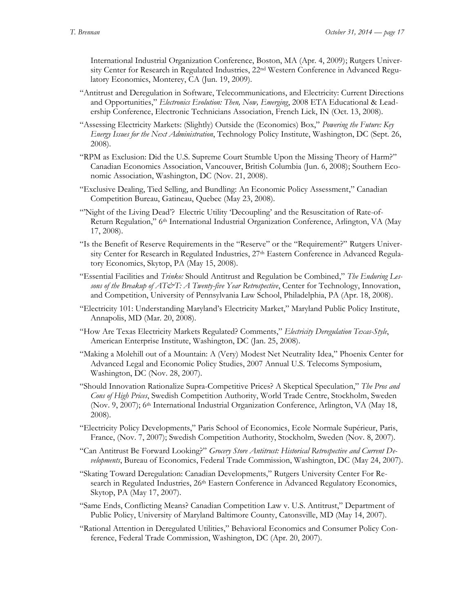International Industrial Organization Conference, Boston, MA (Apr. 4, 2009); Rutgers University Center for Research in Regulated Industries, 22<sup>nd</sup> Western Conference in Advanced Regulatory Economics, Monterey, CA (Jun. 19, 2009).

- "Antitrust and Deregulation in Software, Telecommunications, and Electricity: Current Directions and Opportunities," *Electronics Evolution: Then, Now, Emerging*, 2008 ETA Educational & Leadership Conference, Electronic Technicians Association, French Lick, IN (Oct. 13, 2008).
- "Assessing Electricity Markets: (Slightly) Outside the (Economics) Box," *Powering the Future: Key Energy Issues for the Next Administration*, Technology Policy Institute, Washington, DC (Sept. 26, 2008).
- "RPM as Exclusion: Did the U.S. Supreme Court Stumble Upon the Missing Theory of Harm?" Canadian Economics Association, Vancouver, British Columbia (Jun. 6, 2008); Southern Economic Association, Washington, DC (Nov. 21, 2008).
- "Exclusive Dealing, Tied Selling, and Bundling: An Economic Policy Assessment," Canadian Competition Bureau, Gatineau, Quebec (May 23, 2008).
- "'Night of the Living Dead'? Electric Utility 'Decoupling' and the Resuscitation of Rate-of-Return Regulation," 6<sup>th</sup> International Industrial Organization Conference, Arlington, VA (May 17, 2008).
- "Is the Benefit of Reserve Requirements in the "Reserve" or the "Requirement?" Rutgers University Center for Research in Regulated Industries, 27<sup>th</sup> Eastern Conference in Advanced Regulatory Economics, Skytop, PA (May 15, 2008).
- "Essential Facilities and *Trinko:* Should Antitrust and Regulation be Combined," *The Enduring Lessons of the Breakup of AT&T: A Twenty-five Year Retrospective*, Center for Technology, Innovation, and Competition, University of Pennsylvania Law School, Philadelphia, PA (Apr. 18, 2008).
- "Electricity 101: Understanding Maryland's Electricity Market," Maryland Public Policy Institute, Annapolis, MD (Mar. 20, 2008).
- "How Are Texas Electricity Markets Regulated? Comments," *Electricity Deregulation Texas-Style*, American Enterprise Institute, Washington, DC (Jan. 25, 2008).
- "Making a Molehill out of a Mountain: A (Very) Modest Net Neutrality Idea," Phoenix Center for Advanced Legal and Economic Policy Studies, 2007 Annual U.S. Telecoms Symposium, Washington, DC (Nov. 28, 2007).
- "Should Innovation Rationalize Supra-Competitive Prices? A Skeptical Speculation," *The Pros and Cons of High Prices*, Swedish Competition Authority, World Trade Centre, Stockholm, Sweden (Nov. 9, 2007); 6th International Industrial Organization Conference, Arlington, VA (May 18, 2008).
- "Electricity Policy Developments," Paris School of Economics, Ecole Normale Supérieur, Paris, France, (Nov. 7, 2007); Swedish Competition Authority, Stockholm, Sweden (Nov. 8, 2007).
- "Can Antitrust Be Forward Looking?" *Grocery Store Antitrust: Historical Retrospective and Current Developments*, Bureau of Economics, Federal Trade Commission, Washington, DC (May 24, 2007).
- "Skating Toward Deregulation: Canadian Developments," Rutgers University Center For Research in Regulated Industries, 26<sup>th</sup> Eastern Conference in Advanced Regulatory Economics, Skytop, PA (May 17, 2007).
- "Same Ends, Conflicting Means? Canadian Competition Law v. U.S. Antitrust," Department of Public Policy, University of Maryland Baltimore County, Catonsville, MD (May 14, 2007).
- "Rational Attention in Deregulated Utilities," Behavioral Economics and Consumer Policy Conference, Federal Trade Commission, Washington, DC (Apr. 20, 2007).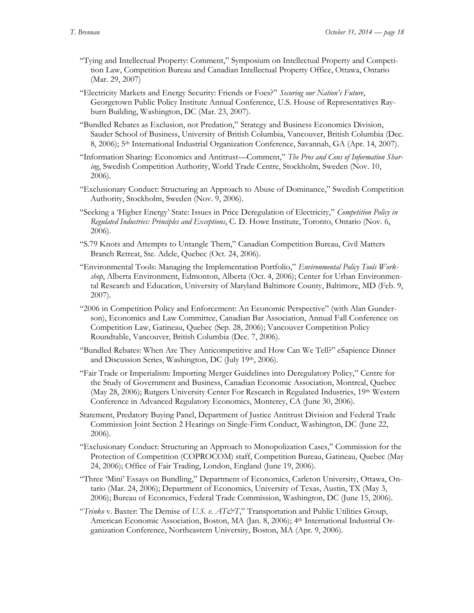- "Tying and Intellectual Property: Comment," Symposium on Intellectual Property and Competition Law, Competition Bureau and Canadian Intellectual Property Office, Ottawa, Ontario (Mar. 29, 2007)
- "Electricity Markets and Energy Security: Friends or Foes?" *Securing our Nation's Future*, Georgetown Public Policy Institute Annual Conference, U.S. House of Representatives Rayburn Building, Washington, DC (Mar. 23, 2007).
- "Bundled Rebates as Exclusion, not Predation," Strategy and Business Economics Division, Sauder School of Business, University of British Columbia, Vancouver, British Columbia (Dec. 8, 2006); 5<sup>th</sup> International Industrial Organization Conference, Savannah, GA (Apr. 14, 2007).
- "Information Sharing: Economics and Antitrust—Comment," *The Pros and Cons of Information Sharing*, Swedish Competition Authority, World Trade Centre, Stockholm, Sweden (Nov. 10, 2006).
- "Exclusionary Conduct: Structuring an Approach to Abuse of Dominance," Swedish Competition Authority, Stockholm, Sweden (Nov. 9, 2006).
- "Seeking a 'Higher Energy' State: Issues in Price Deregulation of Electricity," *Competition Policy in Regulated Industries: Principles and Exceptions*, C. D. Howe Institute, Toronto, Ontario (Nov. 6, 2006).
- "S.79 Knots and Attempts to Untangle Them," Canadian Competition Bureau, Civil Matters Branch Retreat, Ste. Adele, Quebec (Oct. 24, 2006).
- "Environmental Tools: Managing the Implementation Portfolio," *Environmental Policy Tools Workshop*, Alberta Environment, Edmonton, Alberta (Oct. 4, 2006); Center for Urban Environmental Research and Education, University of Maryland Baltimore County, Baltimore, MD (Feb. 9, 2007).
- "2006 in Competition Policy and Enforcement: An Economic Perspective" (with Alan Gunderson), Economics and Law Committee, Canadian Bar Association, Annual Fall Conference on Competition Law, Gatineau, Quebec (Sep. 28, 2006); Vancouver Competition Policy Roundtable, Vancouver, British Columbia (Dec. 7, 2006).
- "Bundled Rebates: When Are They Anticompetitive and How Can We Tell?" eSapience Dinner and Discussion Series, Washington, DC (July 19th, 2006).
- "Fair Trade or Imperialism: Importing Merger Guidelines into Deregulatory Policy," Centre for the Study of Government and Business, Canadian Economic Association, Montreal, Quebec (May 28, 2006); Rutgers University Center For Research in Regulated Industries, 19th Western Conference in Advanced Regulatory Economics, Monterey, CA (June 30, 2006).
- Statement, Predatory Buying Panel, Department of Justice Antitrust Division and Federal Trade Commission Joint Section 2 Hearings on Single-Firm Conduct, Washington, DC (June 22, 2006).
- "Exclusionary Conduct: Structuring an Approach to Monopolization Cases," Commission for the Protection of Competition (COPROCOM) staff, Competition Bureau, Gatineau, Quebec (May 24, 2006); Office of Fair Trading, London, England (June 19, 2006).
- "Three 'Mini' Essays on Bundling," Department of Economics, Carleton University, Ottawa, Ontario (Mar. 24, 2006); Department of Economics, University of Texas, Austin, TX (May 3, 2006); Bureau of Economics, Federal Trade Commission, Washington, DC (June 15, 2006).
- "*Trinko* v. Baxter: The Demise of *U.S. v. AT&T*," Transportation and Public Utilities Group, American Economic Association, Boston, MA (Jan. 8, 2006); 4 th International Industrial Organization Conference, Northeastern University, Boston, MA (Apr. 9, 2006).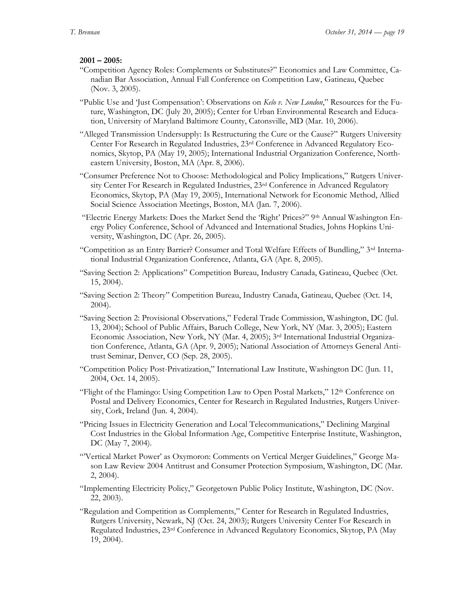# **2001 – 2005:**

- "Competition Agency Roles: Complements or Substitutes?" Economics and Law Committee, Canadian Bar Association, Annual Fall Conference on Competition Law, Gatineau, Quebec (Nov. 3, 2005).
- "Public Use and 'Just Compensation': Observations on *Kelo v. New London*," Resources for the Future, Washington, DC (July 20, 2005); Center for Urban Environmental Research and Education, University of Maryland Baltimore County, Catonsville, MD (Mar. 10, 2006).
- "Alleged Transmission Undersupply: Is Restructuring the Cure or the Cause?" Rutgers University Center For Research in Regulated Industries, 23rd Conference in Advanced Regulatory Economics, Skytop, PA (May 19, 2005); International Industrial Organization Conference, Northeastern University, Boston, MA (Apr. 8, 2006).
- "Consumer Preference Not to Choose: Methodological and Policy Implications," Rutgers University Center For Research in Regulated Industries, 23rd Conference in Advanced Regulatory Economics, Skytop, PA (May 19, 2005), International Network for Economic Method, Allied Social Science Association Meetings, Boston, MA (Jan. 7, 2006).
- "Electric Energy Markets: Does the Market Send the 'Right' Prices?" 9th Annual Washington Energy Policy Conference, School of Advanced and International Studies, Johns Hopkins University, Washington, DC (Apr. 26, 2005).
- "Competition as an Entry Barrier? Consumer and Total Welfare Effects of Bundling," 3rd International Industrial Organization Conference, Atlanta, GA (Apr. 8, 2005).
- "Saving Section 2: Applications" Competition Bureau, Industry Canada, Gatineau, Quebec (Oct. 15, 2004).
- "Saving Section 2: Theory" Competition Bureau, Industry Canada, Gatineau, Quebec (Oct. 14, 2004).
- "Saving Section 2: Provisional Observations," Federal Trade Commission, Washington, DC (Jul. 13, 2004); School of Public Affairs, Baruch College, New York, NY (Mar. 3, 2005); Eastern Economic Association, New York, NY (Mar. 4, 2005); 3rd International Industrial Organization Conference, Atlanta, GA (Apr. 9, 2005); National Association of Attorneys General Antitrust Seminar, Denver, CO (Sep. 28, 2005).
- "Competition Policy Post-Privatization," International Law Institute, Washington DC (Jun. 11, 2004, Oct. 14, 2005).
- "Flight of the Flamingo: Using Competition Law to Open Postal Markets," 12<sup>th</sup> Conference on Postal and Delivery Economics, Center for Research in Regulated Industries, Rutgers University, Cork, Ireland (Jun. 4, 2004).
- "Pricing Issues in Electricity Generation and Local Telecommunications," Declining Marginal Cost Industries in the Global Information Age, Competitive Enterprise Institute, Washington, DC (May 7, 2004).
- "'Vertical Market Power' as Oxymoron: Comments on Vertical Merger Guidelines," George Mason Law Review 2004 Antitrust and Consumer Protection Symposium, Washington, DC (Mar. 2, 2004).
- "Implementing Electricity Policy," Georgetown Public Policy Institute, Washington, DC (Nov. 22, 2003).
- "Regulation and Competition as Complements," Center for Research in Regulated Industries, Rutgers University, Newark, NJ (Oct. 24, 2003); Rutgers University Center For Research in Regulated Industries, 23rd Conference in Advanced Regulatory Economics, Skytop, PA (May 19, 2004).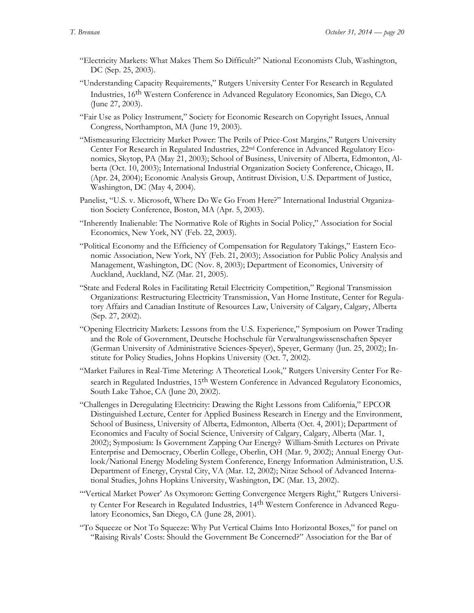- "Electricity Markets: What Makes Them So Difficult?" National Economists Club, Washington, DC (Sep. 25, 2003).
- "Understanding Capacity Requirements," Rutgers University Center For Research in Regulated Industries, 16th Western Conference in Advanced Regulatory Economics, San Diego, CA (June 27, 2003).
- "Fair Use as Policy Instrument," Society for Economic Research on Copyright Issues, Annual Congress, Northampton, MA (June 19, 2003).
- "Mismeasuring Electricity Market Power: The Perils of Price-Cost Margins," Rutgers University Center For Research in Regulated Industries, 22nd Conference in Advanced Regulatory Economics, Skytop, PA (May 21, 2003); School of Business, University of Alberta, Edmonton, Alberta (Oct. 10, 2003); International Industrial Organization Society Conference, Chicago, IL (Apr. 24, 2004); Economic Analysis Group, Antitrust Division, U.S. Department of Justice, Washington, DC (May 4, 2004).
- Panelist, "U.S. v. Microsoft, Where Do We Go From Here?" International Industrial Organization Society Conference, Boston, MA (Apr. 5, 2003).
- "Inherently Inalienable: The Normative Role of Rights in Social Policy," Association for Social Economics, New York, NY (Feb. 22, 2003).
- "Political Economy and the Efficiency of Compensation for Regulatory Takings," Eastern Economic Association, New York, NY (Feb. 21, 2003); Association for Public Policy Analysis and Management, Washington, DC (Nov. 8, 2003); Department of Economics, University of Auckland, Auckland, NZ (Mar. 21, 2005).
- "State and Federal Roles in Facilitating Retail Electricity Competition," Regional Transmission Organizations: Restructuring Electricity Transmission, Van Horne Institute, Center for Regulatory Affairs and Canadian Institute of Resources Law, University of Calgary, Calgary, Alberta (Sep. 27, 2002).
- "Opening Electricity Markets: Lessons from the U.S. Experience," Symposium on Power Trading and the Role of Government, Deutsche Hochschule für Verwaltungswissenschaften Speyer (German University of Administrative Sciences-Speyer), Speyer, Germany (Jun. 25, 2002); Institute for Policy Studies, Johns Hopkins University (Oct. 7, 2002).
- "Market Failures in Real-Time Metering: A Theoretical Look," Rutgers University Center For Research in Regulated Industries, 15<sup>th</sup> Western Conference in Advanced Regulatory Economics, South Lake Tahoe, CA (June 20, 2002).
- "Challenges in Deregulating Electricity: Drawing the Right Lessons from California," EPCOR Distinguished Lecture, Center for Applied Business Research in Energy and the Environment, School of Business, University of Alberta, Edmonton, Alberta (Oct. 4, 2001); Department of Economics and Faculty of Social Science, University of Calgary, Calgary, Alberta (Mar. 1, 2002); Symposium: Is Government Zapping Our Energy? William-Smith Lectures on Private Enterprise and Democracy, Oberlin College, Oberlin, OH (Mar. 9, 2002); Annual Energy Outlook/National Energy Modeling System Conference, Energy Information Administration, U.S. Department of Energy, Crystal City, VA (Mar. 12, 2002); Nitze School of Advanced International Studies, Johns Hopkins University, Washington, DC (Mar. 13, 2002).
- "'Vertical Market Power' As Oxymoron: Getting Convergence Mergers Right," Rutgers University Center For Research in Regulated Industries, 14<sup>th</sup> Western Conference in Advanced Regulatory Economics, San Diego, CA (June 28, 2001).
- "To Squeeze or Not To Squeeze: Why Put Vertical Claims Into Horizontal Boxes," for panel on "Raising Rivals' Costs: Should the Government Be Concerned?" Association for the Bar of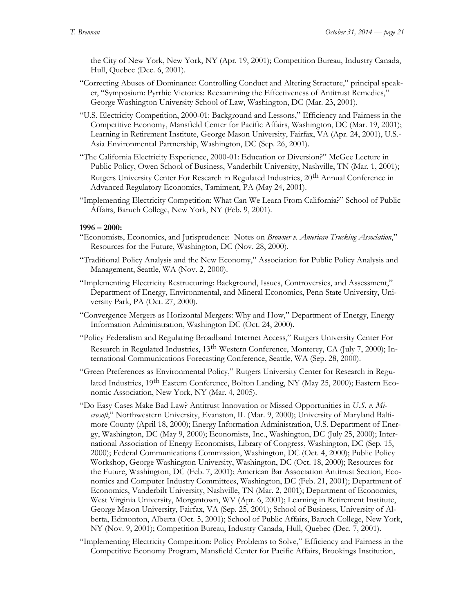the City of New York, New York, NY (Apr. 19, 2001); Competition Bureau, Industry Canada, Hull, Quebec (Dec. 6, 2001).

- "Correcting Abuses of Dominance: Controlling Conduct and Altering Structure," principal speaker, "Symposium: Pyrrhic Victories: Reexamining the Effectiveness of Antitrust Remedies," George Washington University School of Law, Washington, DC (Mar. 23, 2001).
- "U.S. Electricity Competition, 2000-01: Background and Lessons," Efficiency and Fairness in the Competitive Economy, Mansfield Center for Pacific Affairs, Washington, DC (Mar. 19, 2001); Learning in Retirement Institute, George Mason University, Fairfax, VA (Apr. 24, 2001), U.S.- Asia Environmental Partnership, Washington, DC (Sep. 26, 2001).
- "The California Electricity Experience, 2000-01: Education or Diversion?" McGee Lecture in Public Policy, Owen School of Business, Vanderbilt University, Nashville, TN (Mar. 1, 2001); Rutgers University Center For Research in Regulated Industries, 20th Annual Conference in Advanced Regulatory Economics, Tamiment, PA (May 24, 2001).
- "Implementing Electricity Competition: What Can We Learn From California?" School of Public Affairs, Baruch College, New York, NY (Feb. 9, 2001).

#### **1996 – 2000:**

- "Economists, Economics, and Jurisprudence: Notes on *Browner v. American Trucking Association*," Resources for the Future, Washington, DC (Nov. 28, 2000).
- "Traditional Policy Analysis and the New Economy," Association for Public Policy Analysis and Management, Seattle, WA (Nov. 2, 2000).
- "Implementing Electricity Restructuring: Background, Issues, Controversies, and Assessment," Department of Energy, Environmental, and Mineral Economics, Penn State University, University Park, PA (Oct. 27, 2000).
- "Convergence Mergers as Horizontal Mergers: Why and How," Department of Energy, Energy Information Administration, Washington DC (Oct. 24, 2000).
- "Policy Federalism and Regulating Broadband Internet Access," Rutgers University Center For Research in Regulated Industries, 13<sup>th</sup> Western Conference, Monterey, CA (July 7, 2000); International Communications Forecasting Conference, Seattle, WA (Sep. 28, 2000).
- "Green Preferences as Environmental Policy," Rutgers University Center for Research in Regulated Industries, 19<sup>th</sup> Eastern Conference, Bolton Landing, NY (May 25, 2000); Eastern Economic Association, New York, NY (Mar. 4, 2005).
- "Do Easy Cases Make Bad Law? Antitrust Innovation or Missed Opportunities in *U.S. v. Microsoft*," Northwestern University, Evanston, IL (Mar. 9, 2000); University of Maryland Baltimore County (April 18, 2000); Energy Information Administration, U.S. Department of Energy, Washington, DC (May 9, 2000); Economists, Inc., Washington, DC (July 25, 2000); International Association of Energy Economists, Library of Congress, Washington, DC (Sep. 15, 2000); Federal Communications Commission, Washington, DC (Oct. 4, 2000); Public Policy Workshop, George Washington University, Washington, DC (Oct. 18, 2000); Resources for the Future, Washington, DC (Feb. 7, 2001); American Bar Association Antitrust Section, Economics and Computer Industry Committees, Washington, DC (Feb. 21, 2001); Department of Economics, Vanderbilt University, Nashville, TN (Mar. 2, 2001); Department of Economics, West Virginia University, Morgantown, WV (Apr. 6, 2001); Learning in Retirement Institute, George Mason University, Fairfax, VA (Sep. 25, 2001); School of Business, University of Alberta, Edmonton, Alberta (Oct. 5, 2001); School of Public Affairs, Baruch College, New York, NY (Nov. 9, 2001); Competition Bureau, Industry Canada, Hull, Quebec (Dec. 7, 2001).
- "Implementing Electricity Competition: Policy Problems to Solve," Efficiency and Fairness in the Competitive Economy Program, Mansfield Center for Pacific Affairs, Brookings Institution,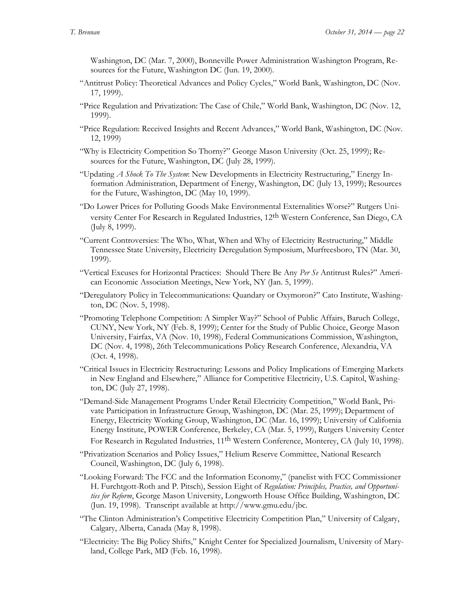Washington, DC (Mar. 7, 2000), Bonneville Power Administration Washington Program, Resources for the Future, Washington DC (Jun. 19, 2000).

- "Antitrust Policy: Theoretical Advances and Policy Cycles," World Bank, Washington, DC (Nov. 17, 1999).
- "Price Regulation and Privatization: The Case of Chile," World Bank, Washington, DC (Nov. 12, 1999).
- "Price Regulation: Received Insights and Recent Advances," World Bank, Washington, DC (Nov. 12, 1999)
- "Why is Electricity Competition So Thorny?" George Mason University (Oct. 25, 1999); Resources for the Future, Washington, DC (July 28, 1999).
- "Updating *A Shock To The System*: New Developments in Electricity Restructuring," Energy Information Administration, Department of Energy, Washington, DC (July 13, 1999); Resources for the Future, Washington, DC (May 10, 1999).
- "Do Lower Prices for Polluting Goods Make Environmental Externalities Worse?" Rutgers University Center For Research in Regulated Industries, 12<sup>th</sup> Western Conference, San Diego, CA (July 8, 1999).
- "Current Controversies: The Who, What, When and Why of Electricity Restructuring," Middle Tennessee State University, Electricity Deregulation Symposium, Murfreesboro, TN (Mar. 30, 1999).
- "Vertical Excuses for Horizontal Practices: Should There Be Any *Per Se* Antitrust Rules?" American Economic Association Meetings, New York, NY (Jan. 5, 1999).
- "Deregulatory Policy in Telecommunications: Quandary or Oxymoron?" Cato Institute, Washington, DC (Nov. 5, 1998).
- "Promoting Telephone Competition: A Simpler Way?" School of Public Affairs, Baruch College, CUNY, New York, NY (Feb. 8, 1999); Center for the Study of Public Choice, George Mason University, Fairfax, VA (Nov. 10, 1998), Federal Communications Commission, Washington, DC (Nov. 4, 1998), 26th Telecommunications Policy Research Conference, Alexandria, VA (Oct. 4, 1998).
- "Critical Issues in Electricity Restructuring: Lessons and Policy Implications of Emerging Markets in New England and Elsewhere," Alliance for Competitive Electricity, U.S. Capitol, Washington, DC (July 27, 1998).
- "Demand-Side Management Programs Under Retail Electricity Competition," World Bank, Private Participation in Infrastructure Group, Washington, DC (Mar. 25, 1999); Department of Energy, Electricity Working Group, Washington, DC (Mar. 16, 1999); University of California Energy Institute, POWER Conference, Berkeley, CA (Mar. 5, 1999), Rutgers University Center For Research in Regulated Industries,  $11<sup>th</sup>$  Western Conference, Monterey, CA (July 10, 1998).
- "Privatization Scenarios and Policy Issues," Helium Reserve Committee, National Research Council, Washington, DC (July 6, 1998).
- "Looking Forward: The FCC and the Information Economy," (panelist with FCC Commissioner H. Furchtgott-Roth and P. Pitsch), Session Eight of *Regulation: Principles, Practice, and Opportunities for Reform*, George Mason University, Longworth House Office Building, Washington, DC (Jun. 19, 1998). Transcript available at http://www.gmu.edu/jbc.
- "The Clinton Administration's Competitive Electricity Competition Plan," University of Calgary, Calgary, Alberta, Canada (May 8, 1998).
- "Electricity: The Big Policy Shifts," Knight Center for Specialized Journalism, University of Maryland, College Park, MD (Feb. 16, 1998).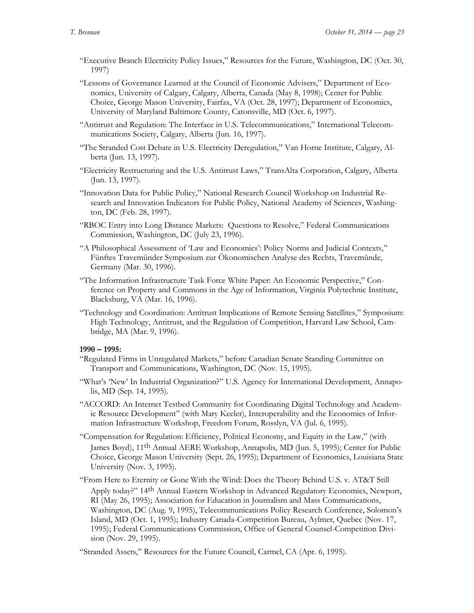- "Executive Branch Electricity Policy Issues," Resources for the Future, Washington, DC (Oct. 30, 1997)
- "Lessons of Governance Learned at the Council of Economic Advisers," Department of Economics, University of Calgary, Calgary, Alberta, Canada (May 8, 1998); Center for Public Choice, George Mason University, Fairfax, VA (Oct. 28, 1997); Department of Economics, University of Maryland Baltimore County, Catonsville, MD (Oct. 6, 1997).
- "Antitrust and Regulation: The Interface in U.S. Telecommunications," International Telecommunications Society, Calgary, Alberta (Jun. 16, 1997).
- "The Stranded Cost Debate in U.S. Electricity Deregulation," Van Horne Institute, Calgary, Alberta (Jun. 13, 1997).
- "Electricity Restructuring and the U.S. Antitrust Laws," TransAlta Corporation, Calgary, Alberta (Jun. 13, 1997).
- "Innovation Data for Public Policy," National Research Council Workshop on Industrial Research and Innovation Indicators for Public Policy, National Academy of Sciences, Washington, DC (Feb. 28, 1997).
- "RBOC Entry into Long Distance Markets: Questions to Resolve," Federal Communications Commission, Washington, DC (July 23, 1996).
- "A Philosophical Assessment of 'Law and Economics': Policy Norms and Judicial Contexts," Fünftes Travemünder Symposium zur Ökonomischen Analyse des Rechts, Travemünde, Germany (Mar. 30, 1996).
- "The Information Infrastructure Task Force White Paper: An Economic Perspective," Conference on Property and Commons in the Age of Information, Virginia Polytechnic Institute, Blacksburg, VA (Mar. 16, 1996).
- "Technology and Coordination: Antitrust Implications of Remote Sensing Satellites," Symposium: High Technology, Antitrust, and the Regulation of Competition, Harvard Law School, Cambridge, MA (Mar. 9, 1996).

# **1990 – 1995:**

- "Regulated Firms in Unregulated Markets," before Canadian Senate Standing Committee on Transport and Communications, Washington, DC (Nov. 15, 1995).
- "What's 'New' In Industrial Organization?" U.S. Agency for International Development, Annapolis, MD (Sep. 14, 1995).
- "ACCORD: An Internet Testbed Community for Coordinating Digital Technology and Academic Resource Development" (with Mary Keeler), Interoperability and the Economics of Information Infrastructure Workshop, Freedom Forum, Rosslyn, VA (Jul. 6, 1995).
- "Compensation for Regulation: Efficiency, Political Economy, and Equity in the Law," (with James Boyd), 11th Annual AERE Workshop, Annapolis, MD (Jun. 5, 1995); Center for Public Choice, George Mason University (Sept. 26, 1995); Department of Economics, Louisiana State University (Nov. 3, 1995).
- "From Here to Eternity or Gone With the Wind: Does the Theory Behind U.S. v. AT&T Still Apply today?" 14th Annual Eastern Workshop in Advanced Regulatory Economics, Newport, RI (May 26, 1995); Association for Education in Journalism and Mass Communications, Washington, DC (Aug. 9, 1995), Telecommunications Policy Research Conference, Solomon's Island, MD (Oct. 1, 1995); Industry Canada-Competition Bureau, Aylmer, Quebec (Nov. 17, 1995); Federal Communications Commission, Office of General Counsel-Competition Division (Nov. 29, 1995).

"Stranded Assets," Resources for the Future Council, Carmel, CA (Apr. 6, 1995).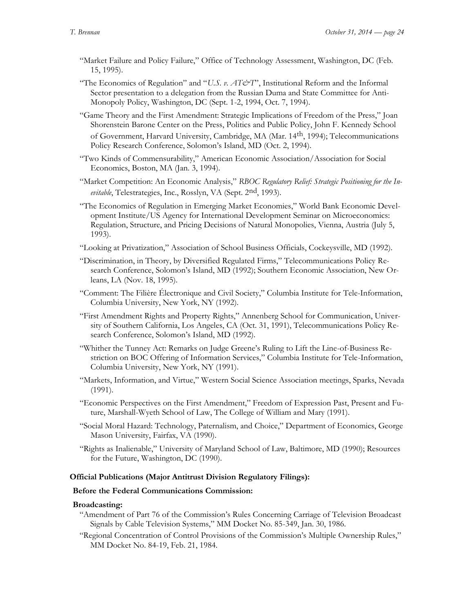- "Market Failure and Policy Failure," Office of Technology Assessment, Washington, DC (Feb. 15, 1995).
- "The Economics of Regulation" and "*U.S. v. AT&T*", Institutional Reform and the Informal Sector presentation to a delegation from the Russian Duma and State Committee for Anti-Monopoly Policy, Washington, DC (Sept. 1-2, 1994, Oct. 7, 1994).
- "Game Theory and the First Amendment: Strategic Implications of Freedom of the Press," Joan Shorenstein Barone Center on the Press, Politics and Public Policy, John F. Kennedy School of Government, Harvard University, Cambridge, MA (Mar. 14th, 1994); Telecommunications Policy Research Conference, Solomon's Island, MD (Oct. 2, 1994).
- "Two Kinds of Commensurability," American Economic Association/Association for Social Economics, Boston, MA (Jan. 3, 1994).
- "Market Competition: An Economic Analysis," *RBOC Regulatory Relief: Strategic Positioning for the Inevitable*, Telestrategies, Inc., Rosslyn, VA (Sept. 2nd, 1993).
- "The Economics of Regulation in Emerging Market Economies," World Bank Economic Development Institute/US Agency for International Development Seminar on Microeconomics: Regulation, Structure, and Pricing Decisions of Natural Monopolies, Vienna, Austria (July 5, 1993).
- "Looking at Privatization," Association of School Business Officials, Cockeysville, MD (1992).
- "Discrimination, in Theory, by Diversified Regulated Firms," Telecommunications Policy Research Conference, Solomon's Island, MD (1992); Southern Economic Association, New Orleans, LA (Nov. 18, 1995).
- "Comment: The Filière Électronique and Civil Society," Columbia Institute for Tele-Information, Columbia University, New York, NY (1992).
- "First Amendment Rights and Property Rights," Annenberg School for Communication, University of Southern California, Los Angeles, CA (Oct. 31, 1991), Telecommunications Policy Research Conference, Solomon's Island, MD (1992).
- "Whither the Tunney Act: Remarks on Judge Greene's Ruling to Lift the Line-of-Business Restriction on BOC Offering of Information Services," Columbia Institute for Tele-Information, Columbia University, New York, NY (1991).
- "Markets, Information, and Virtue," Western Social Science Association meetings, Sparks, Nevada (1991).
- "Economic Perspectives on the First Amendment," Freedom of Expression Past, Present and Future, Marshall-Wyeth School of Law, The College of William and Mary (1991).
- "Social Moral Hazard: Technology, Paternalism, and Choice," Department of Economics, George Mason University, Fairfax, VA (1990).
- "Rights as Inalienable," University of Maryland School of Law, Baltimore, MD (1990); Resources for the Future, Washington, DC (1990).

# **Official Publications (Major Antitrust Division Regulatory Filings):**

# **Before the Federal Communications Commission:**

# **Broadcasting:**

- "Amendment of Part 76 of the Commission's Rules Concerning Carriage of Television Broadcast Signals by Cable Television Systems," MM Docket No. 85-349, Jan. 30, 1986.
- "Regional Concentration of Control Provisions of the Commission's Multiple Ownership Rules," MM Docket No. 84-19, Feb. 21, 1984.